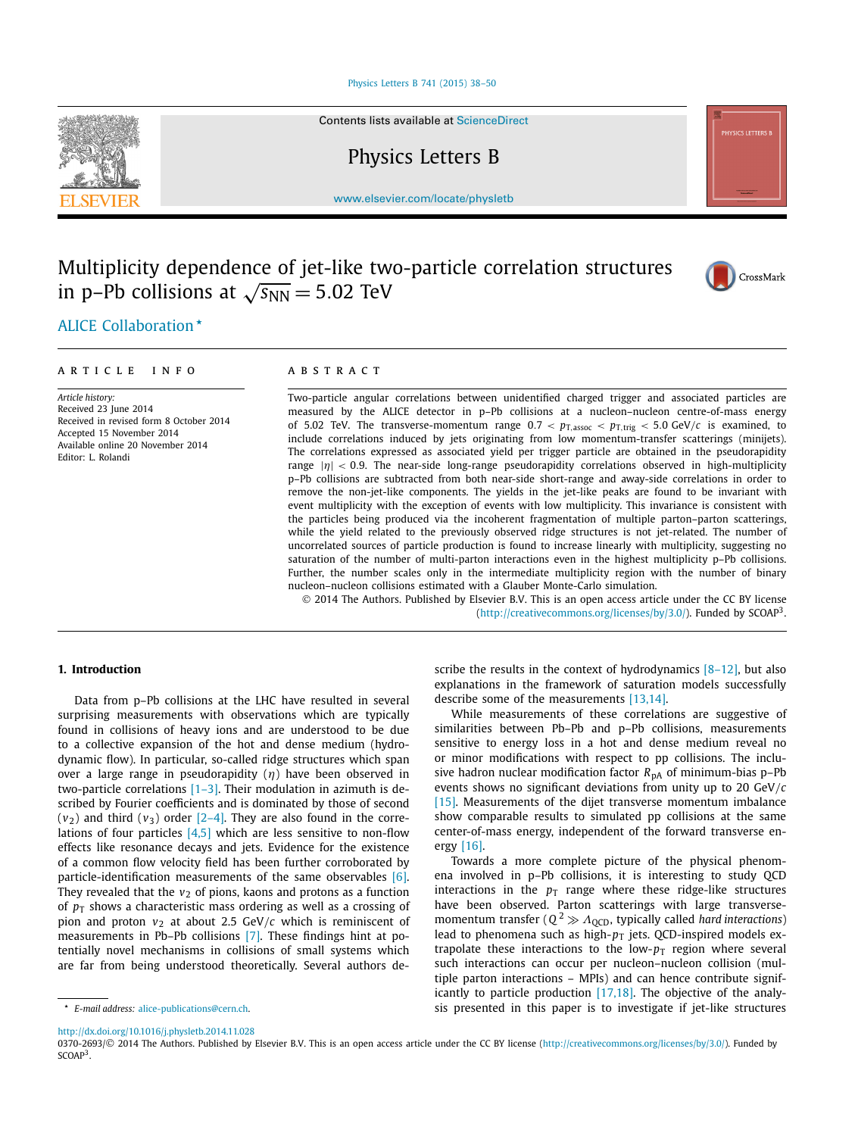#### [Physics Letters B 741 \(2015\) 38–50](http://dx.doi.org/10.1016/j.physletb.2014.11.028)

Contents lists available at [ScienceDirect](http://www.ScienceDirect.com/)

Physics Letters B

[www.elsevier.com/locate/physletb](http://www.elsevier.com/locate/physletb)



# Multiplicity dependence of jet-like two-particle correlation structures in p–Pb collisions at  $\sqrt{s_{NN}}$  = 5.02 TeV



# .ALICE [Collaboration](#page-7-0) *-*

#### A R T I C L E I N F O A B S T R A C T

*Article history:* Received 23 June 2014 Received in revised form 8 October 2014 Accepted 15 November 2014 Available online 20 November 2014 Editor: L. Rolandi

Two-particle angular correlations between unidentified charged trigger and associated particles are measured by the ALICE detector in p–Pb collisions at a nucleon–nucleon centre-of-mass energy of 5.02 TeV. The transverse-momentum range  $0.7 < p_{\text{T,assoc}} < p_{\text{T,trig}} < 5.0 \text{ GeV}/c$  is examined, to include correlations induced by jets originating from low momentum-transfer scatterings (minijets). The correlations expressed as associated yield per trigger particle are obtained in the pseudorapidity range |*η*| *<* <sup>0</sup>*.*9. The near-side long-range pseudorapidity correlations observed in high-multiplicity p–Pb collisions are subtracted from both near-side short-range and away-side correlations in order to remove the non-jet-like components. The yields in the jet-like peaks are found to be invariant with event multiplicity with the exception of events with low multiplicity. This invariance is consistent with the particles being produced via the incoherent fragmentation of multiple parton–parton scatterings, while the yield related to the previously observed ridge structures is not jet-related. The number of uncorrelated sources of particle production is found to increase linearly with multiplicity, suggesting no saturation of the number of multi-parton interactions even in the highest multiplicity p–Pb collisions. Further, the number scales only in the intermediate multiplicity region with the number of binary nucleon–nucleon collisions estimated with a Glauber Monte-Carlo simulation.

© 2014 The Authors. Published by Elsevier B.V. This is an open access article under the CC BY license [\(http://creativecommons.org/licenses/by/3.0/\)](http://creativecommons.org/licenses/by/3.0/). Funded by SCOAP3.

# **1. Introduction**

Data from p–Pb collisions at the LHC have resulted in several surprising measurements with observations which are typically found in collisions of heavy ions and are understood to be due to a collective expansion of the hot and dense medium (hydrodynamic flow). In particular, so-called ridge structures which span over a large range in pseudorapidity (*η*) have been observed in two-particle correlations [\[1–3\].](#page-7-0) Their modulation in azimuth is described by Fourier coefficients and is dominated by those of second  $(v_2)$  and third  $(v_3)$  order  $[2-4]$ . They are also found in the correlations of four particles  $[4,5]$  which are less sensitive to non-flow effects like resonance decays and jets. Evidence for the existence of a common flow velocity field has been further corroborated by particle-identification measurements of the same observables [\[6\].](#page-7-0) They revealed that the  $v_2$  of pions, kaons and protons as a function of  $p_T$  shows a characteristic mass ordering as well as a crossing of pion and proton  $v_2$  at about 2.5 GeV/ $c$  which is reminiscent of measurements in Pb–Pb collisions [\[7\].](#page-7-0) These findings hint at potentially novel mechanisms in collisions of small systems which are far from being understood theoretically. Several authors describe the results in the context of hydrodynamics  $[8-12]$ , but also explanations in the framework of saturation models successfully describe some of the measurements [\[13,14\].](#page-7-0)

While measurements of these correlations are suggestive of similarities between Pb–Pb and p–Pb collisions, measurements sensitive to energy loss in a hot and dense medium reveal no or minor modifications with respect to pp collisions. The inclusive hadron nuclear modification factor  $R_{pA}$  of minimum-bias p-Pb events shows no significant deviations from unity up to 20 GeV*/c* [\[15\].](#page-7-0) Measurements of the dijet transverse momentum imbalance show comparable results to simulated pp collisions at the same center-of-mass energy, independent of the forward transverse energy [\[16\].](#page-7-0)

Towards a more complete picture of the physical phenomena involved in p–Pb collisions, it is interesting to study QCD interactions in the  $p<sub>T</sub>$  range where these ridge-like structures have been observed. Parton scatterings with large transversemomentum transfer ( $Q^2 \gg A_{\text{QCD}}$ , typically called *hard interactions*) lead to phenomena such as high- $p<sub>T</sub>$  jets. QCD-inspired models extrapolate these interactions to the low- $p<sub>T</sub>$  region where several such interactions can occur per nucleon–nucleon collision (multiple parton interactions – MPIs) and can hence contribute significantly to particle production [\[17,18\].](#page-7-0) The objective of the analysis presented in this paper is to investigate if jet-like structures

0370-2693/© 2014 The Authors. Published by Elsevier B.V. This is an open access article under the CC BY license [\(http://creativecommons.org/licenses/by/3.0/\)](http://creativecommons.org/licenses/by/3.0/). Funded by SCOAP<sup>3</sup>.



*<sup>-</sup> E-mail address:* [alice-publications@cern.ch.](mailto:alice-publications@cern.ch)

<http://dx.doi.org/10.1016/j.physletb.2014.11.028>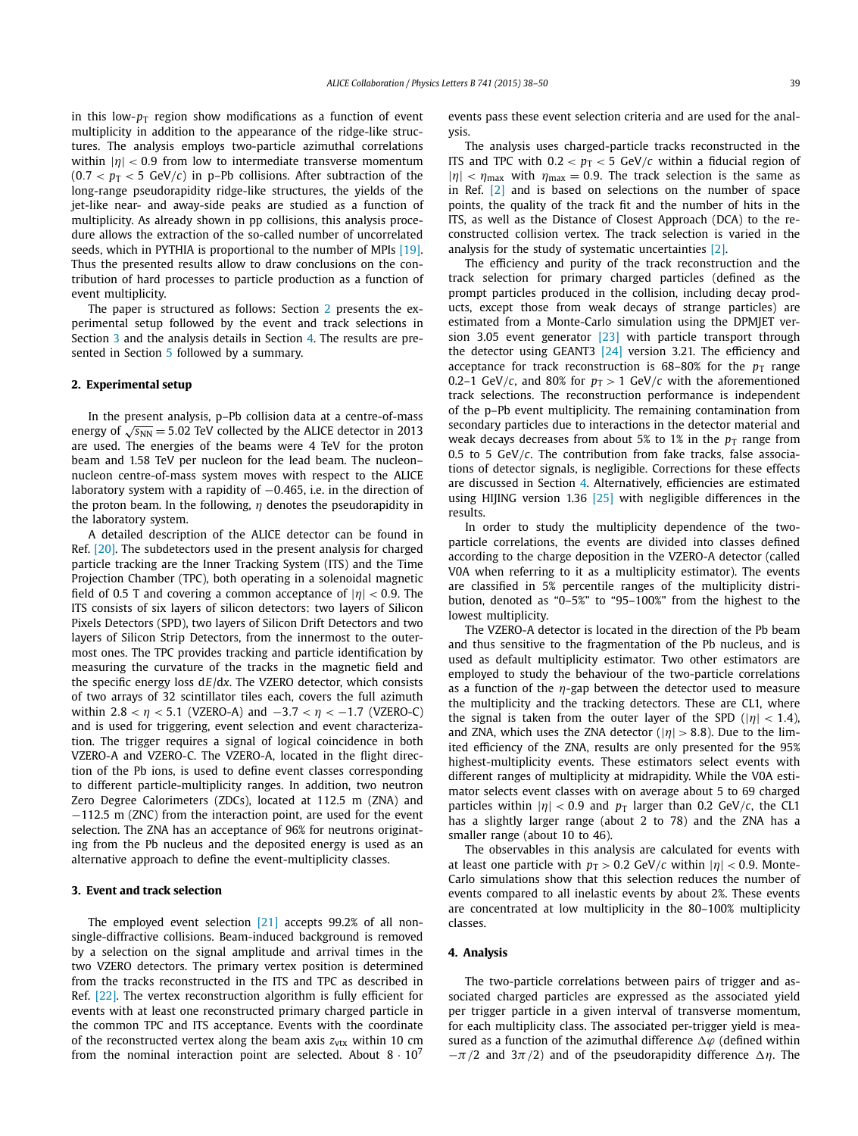in this low- $p<sub>T</sub>$  region show modifications as a function of event multiplicity in addition to the appearance of the ridge-like structures. The analysis employs two-particle azimuthal correlations within  $|\eta|$  < 0.9 from low to intermediate transverse momentum  $(0.7 < p_T < 5 \text{ GeV}/c)$  in p–Pb collisions. After subtraction of the long-range pseudorapidity ridge-like structures, the yields of the jet-like near- and away-side peaks are studied as a function of multiplicity. As already shown in pp collisions, this analysis procedure allows the extraction of the so-called number of uncorrelated seeds, which in PYTHIA is proportional to the number of MPIs [\[19\].](#page-7-0) Thus the presented results allow to draw conclusions on the contribution of hard processes to particle production as a function of event multiplicity.

The paper is structured as follows: Section 2 presents the experimental setup followed by the event and track selections in Section 3 and the analysis details in Section 4. The results are pre-sented in Section [5](#page-3-0) followed by a summary.

### **2. Experimental setup**

In the present analysis, p–Pb collision data at a centre-of-mass energy of  $\sqrt{s_{NN}}$  = 5.02 TeV collected by the ALICE detector in 2013 are used. The energies of the beams were 4 TeV for the proton beam and 1.58 TeV per nucleon for the lead beam. The nucleon– nucleon centre-of-mass system moves with respect to the ALICE laboratory system with a rapidity of −0*.*465, i.e. in the direction of the proton beam. In the following, *η* denotes the pseudorapidity in the laboratory system.

A detailed description of the ALICE detector can be found in Ref. [\[20\].](#page-7-0) The subdetectors used in the present analysis for charged particle tracking are the Inner Tracking System (ITS) and the Time Projection Chamber (TPC), both operating in a solenoidal magnetic field of 0.5 T and covering <sup>a</sup> common acceptance of |*η*| *<* <sup>0</sup>*.*9. The ITS consists of six layers of silicon detectors: two layers of Silicon Pixels Detectors (SPD), two layers of Silicon Drift Detectors and two layers of Silicon Strip Detectors, from the innermost to the outermost ones. The TPC provides tracking and particle identification by measuring the curvature of the tracks in the magnetic field and the specific energy loss d*E*/d*x*. The VZERO detector, which consists of two arrays of 32 scintillator tiles each, covers the full azimuth within 2.8 <  $\eta$  < 5.1 (VZERO-A) and  $-3.7 < \eta < -1.7$  (VZERO-C) and is used for triggering, event selection and event characterization. The trigger requires a signal of logical coincidence in both VZERO-A and VZERO-C. The VZERO-A, located in the flight direction of the Pb ions, is used to define event classes corresponding to different particle-multiplicity ranges. In addition, two neutron Zero Degree Calorimeters (ZDCs), located at 112.5 m (ZNA) and −112.5 m (ZNC) from the interaction point, are used for the event selection. The ZNA has an acceptance of 96% for neutrons originating from the Pb nucleus and the deposited energy is used as an alternative approach to define the event-multiplicity classes.

# **3. Event and track selection**

The employed event selection [\[21\]](#page-7-0) accepts 99.2% of all nonsingle-diffractive collisions. Beam-induced background is removed by a selection on the signal amplitude and arrival times in the two VZERO detectors. The primary vertex position is determined from the tracks reconstructed in the ITS and TPC as described in Ref. [\[22\].](#page-7-0) The vertex reconstruction algorithm is fully efficient for events with at least one reconstructed primary charged particle in the common TPC and ITS acceptance. Events with the coordinate of the reconstructed vertex along the beam axis  $z_{\text{vtx}}$  within 10 cm from the nominal interaction point are selected. About  $8 \cdot 10^7$ 

events pass these event selection criteria and are used for the analysis.

The analysis uses charged-particle tracks reconstructed in the ITS and TPC with  $0.2 < p_T < 5$  GeV/*c* within a fiducial region of  $|\eta|$  <  $\eta_{\text{max}}$  with  $\eta_{\text{max}} = 0.9$ . The track selection is the same as in Ref. [\[2\]](#page-7-0) and is based on selections on the number of space points, the quality of the track fit and the number of hits in the ITS, as well as the Distance of Closest Approach (DCA) to the reconstructed collision vertex. The track selection is varied in the analysis for the study of systematic uncertainties [\[2\].](#page-7-0)

The efficiency and purity of the track reconstruction and the track selection for primary charged particles (defined as the prompt particles produced in the collision, including decay products, except those from weak decays of strange particles) are estimated from a Monte-Carlo simulation using the DPMJET version 3.05 event generator [\[23\]](#page-7-0) with particle transport through the detector using GEANT3  $[24]$  version 3.21. The efficiency and acceptance for track reconstruction is  $68-80%$  for the  $p_T$  range 0.2–1 GeV/*c*, and 80% for  $p<sub>T</sub> > 1$  GeV/*c* with the aforementioned track selections. The reconstruction performance is independent of the p–Pb event multiplicity. The remaining contamination from secondary particles due to interactions in the detector material and weak decays decreases from about 5% to 1% in the  $p<sub>T</sub>$  range from 0.5 to 5 GeV*/c*. The contribution from fake tracks, false associations of detector signals, is negligible. Corrections for these effects are discussed in Section 4. Alternatively, efficiencies are estimated using HIJING version 1.36 [\[25\]](#page-7-0) with negligible differences in the results.

In order to study the multiplicity dependence of the twoparticle correlations, the events are divided into classes defined according to the charge deposition in the VZERO-A detector (called V0A when referring to it as a multiplicity estimator). The events are classified in 5% percentile ranges of the multiplicity distribution, denoted as "0–5%" to "95–100%" from the highest to the lowest multiplicity.

The VZERO-A detector is located in the direction of the Pb beam and thus sensitive to the fragmentation of the Pb nucleus, and is used as default multiplicity estimator. Two other estimators are employed to study the behaviour of the two-particle correlations as a function of the *η*-gap between the detector used to measure the multiplicity and the tracking detectors. These are CL1, where the signal is taken from the outer layer of the SPD ( $|\eta|$  < 1.4), and ZNA, which uses the ZNA detector ( $|\eta| > 8.8$ ). Due to the limited efficiency of the ZNA, results are only presented for the 95% highest-multiplicity events. These estimators select events with different ranges of multiplicity at midrapidity. While the V0A estimator selects event classes with on average about 5 to 69 charged particles within  $|\eta| < 0.9$  and  $p<sub>T</sub>$  larger than 0.2 GeV/*c*, the CL1 has a slightly larger range (about 2 to 78) and the ZNA has a smaller range (about 10 to 46).

The observables in this analysis are calculated for events with at least one particle with  $p_T > 0.2$  GeV/*c* within  $|\eta| < 0.9$ . Monte-Carlo simulations show that this selection reduces the number of events compared to all inelastic events by about 2%. These events are concentrated at low multiplicity in the 80–100% multiplicity classes.

# **4. Analysis**

The two-particle correlations between pairs of trigger and associated charged particles are expressed as the associated yield per trigger particle in a given interval of transverse momentum, for each multiplicity class. The associated per-trigger yield is measured as a function of the azimuthal difference *ϕ* (defined within  $-\pi/2$  and  $3\pi/2$ ) and of the pseudorapidity difference  $\Delta \eta$ . The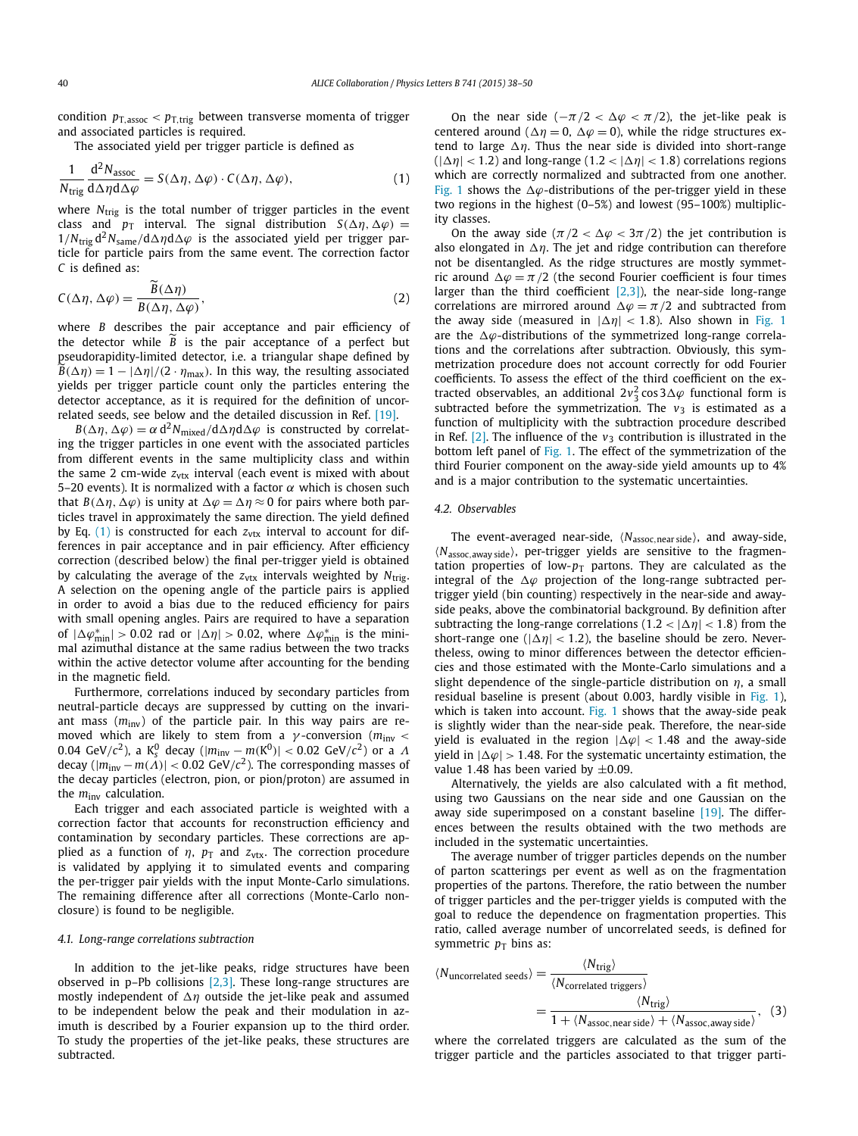<span id="page-2-0"></span>condition  $p_{T,assoc} < p_{T,trig}$  between transverse momenta of trigger and associated particles is required.

The associated yield per trigger particle is defined as

$$
\frac{1}{N_{\text{trig}}} \frac{\mathrm{d}^2 N_{\text{assoc}}}{\mathrm{d}\Delta \eta \mathrm{d}\Delta \varphi} = S(\Delta \eta, \Delta \varphi) \cdot C(\Delta \eta, \Delta \varphi),\tag{1}
$$

where *N*<sub>trig</sub> is the total number of trigger particles in the event class and  $p_T$  interval. The signal distribution  $S(\Delta \eta, \Delta \varphi)$  =  $1/N_{\text{trig}} d^2N_{\text{same}}/dΔηdΔφ$  is the associated yield per trigger particle for particle pairs from the same event. The correction factor *C* is defined as:<br>*C*(Δη, Δφ) =  $\frac{\widetilde{B}(\Delta η)}{B(\Delta n, Δω)}$ , (2) ticle for particle pairs from the same event. The correction factor *C* is defined as:

$$
C(\Delta \eta, \Delta \varphi) = \frac{\tilde{B}(\Delta \eta)}{B(\Delta \eta, \Delta \varphi)},
$$
\nwhere *B* describes the pair acceptance and pair efficiency of the detector while  $\tilde{B}$  is the pair acceptance of a perfect but

where *B* describes the pair acceptance and pair efficiency of pseudorapidity-limited detector, i.e. a triangular shape defined by  $B(\Delta \eta) = 1 - |\Delta \eta|/(2 \cdot \eta_{\text{max}})$ . In this way, the resulting associated yields per trigger particle count only the particles entering the detector acceptance, as it is required for the definition of uncorrelated seeds, see below and the detailed discussion in Ref. [\[19\].](#page-7-0)

 $B(\Delta \eta, \Delta \varphi) = \alpha d^2 N_{\text{mixed}} / d \Delta \eta d \Delta \varphi$  is constructed by correlating the trigger particles in one event with the associated particles from different events in the same multiplicity class and within the same 2 cm-wide  $z_{\text{vtx}}$  interval (each event is mixed with about 5–20 events). It is normalized with a factor *α* which is chosen such that *B*( $\Delta \eta$ ,  $\Delta \varphi$ ) is unity at  $\Delta \varphi = \Delta \eta \approx 0$  for pairs where both particles travel in approximately the same direction. The yield defined by Eq. (1) is constructed for each  $z_{\text{vtx}}$  interval to account for differences in pair acceptance and in pair efficiency. After efficiency correction (described below) the final per-trigger yield is obtained by calculating the average of the  $z_{\text{vtx}}$  intervals weighted by  $N_{\text{trig}}$ . A selection on the opening angle of the particle pairs is applied in order to avoid a bias due to the reduced efficiency for pairs with small opening angles. Pairs are required to have a separation of  $|\Delta \varphi^*_{\text{min}}| > 0.02$  rad or  $|\Delta \eta| > 0.02$ , where  $\Delta \varphi^*_{\text{min}}$  is the minimal azimuthal distance at the same radius between the two tracks within the active detector volume after accounting for the bending in the magnetic field.

Furthermore, correlations induced by secondary particles from neutral-particle decays are suppressed by cutting on the invariant mass (*m*inv) of the particle pair. In this way pairs are removed which are likely to stem from a *γ* -conversion (*m*inv *<*  $(0.04 \text{ GeV/c}^2)$ , a K<sub>S</sub> decay  $(|m_{\text{inv}} - m(K^0)| < 0.02 \text{ GeV/c}^2)$  or a *Λ* decay ( $|m_{\text{inv}} - m(\tilde{A})|$  < 0.02 GeV/ $c^2$ ). The corresponding masses of the decay particles (electron, pion, or pion/proton) are assumed in the  $m_{\text{inv}}$  calculation.

Each trigger and each associated particle is weighted with a correction factor that accounts for reconstruction efficiency and contamination by secondary particles. These corrections are applied as a function of  $\eta$ ,  $p_T$  and  $z_{vtx}$ . The correction procedure is validated by applying it to simulated events and comparing the per-trigger pair yields with the input Monte-Carlo simulations. The remaining difference after all corrections (Monte-Carlo nonclosure) is found to be negligible.

#### *4.1. Long-range correlations subtraction*

In addition to the jet-like peaks, ridge structures have been observed in p–Pb collisions  $[2,3]$ . These long-range structures are mostly independent of  $\Delta \eta$  outside the jet-like peak and assumed to be independent below the peak and their modulation in azimuth is described by a Fourier expansion up to the third order. To study the properties of the jet-like peaks, these structures are subtracted.

On the near side  $(-\pi/2 < \Delta \varphi < \pi/2)$ , the jet-like peak is centered around ( $\Delta \eta = 0$ ,  $\Delta \varphi = 0$ ), while the ridge structures extend to large  $\Delta \eta$ . Thus the near side is divided into short-range  $(|\Delta \eta| < 1.2)$  and long-range  $(1.2 < |\Delta \eta| < 1.8)$  correlations regions which are correctly normalized and subtracted from one another. [Fig. 1](#page-3-0) shows the  $\Delta\varphi$ -distributions of the per-trigger yield in these two regions in the highest (0–5%) and lowest (95–100%) multiplicity classes.

On the away side  $(\pi/2 < \Delta \varphi < 3\pi/2)$  the jet contribution is also elongated in  $\Delta \eta$ . The jet and ridge contribution can therefore not be disentangled. As the ridge structures are mostly symmetric around  $\Delta \varphi = \pi/2$  (the second Fourier coefficient is four times larger than the third coefficient  $[2,3]$ ), the near-side long-range correlations are mirrored around  $\Delta \varphi = \pi/2$  and subtracted from the away side (measured in  $|\Delta \eta|$  < 1.8). Also shown in [Fig. 1](#page-3-0) are the *ϕ*-distributions of the symmetrized long-range correlations and the correlations after subtraction. Obviously, this symmetrization procedure does not account correctly for odd Fourier coefficients. To assess the effect of the third coefficient on the extracted observables, an additional  $2v_3^2 \cos 3\Delta \varphi$  functional form is subtracted before the symmetrization. The  $v_3$  is estimated as a function of multiplicity with the subtraction procedure described in Ref.  $[2]$ . The influence of the  $v_3$  contribution is illustrated in the bottom left panel of [Fig. 1.](#page-3-0) The effect of the symmetrization of the third Fourier component on the away-side yield amounts up to 4% and is a major contribution to the systematic uncertainties.

## *4.2. Observables*

The event-averaged near-side,  $\langle N_{\text{assoc, near side}}\rangle$ , and away-side,  $\langle N_{\text{assoc},\text{away side}} \rangle$ , per-trigger yields are sensitive to the fragmentation properties of low- $p_T$  partons. They are calculated as the integral of the Δ $\varphi$  projection of the long-range subtracted pertrigger yield (bin counting) respectively in the near-side and awayside peaks, above the combinatorial background. By definition after subtracting the long-range correlations  $(1.2 < |\Delta \eta| < 1.8)$  from the short-range one  $(|\Delta n| < 1.2)$ , the baseline should be zero. Nevertheless, owing to minor differences between the detector efficiencies and those estimated with the Monte-Carlo simulations and a slight dependence of the single-particle distribution on *η*, a small residual baseline is present (about 0.003, hardly visible in [Fig. 1\)](#page-3-0), which is taken into account. [Fig. 1](#page-3-0) shows that the away-side peak is slightly wider than the near-side peak. Therefore, the near-side yield is evaluated in the region |*ϕ*| *<* <sup>1</sup>*.*48 and the away-side yield in  $|\Delta \varphi|$  > 1.48. For the systematic uncertainty estimation, the value 1.48 has been varied by  $\pm 0.09$ .

Alternatively, the yields are also calculated with a fit method, using two Gaussians on the near side and one Gaussian on the away side superimposed on a constant baseline [\[19\].](#page-7-0) The differences between the results obtained with the two methods are included in the systematic uncertainties.

The average number of trigger particles depends on the number of parton scatterings per event as well as on the fragmentation properties of the partons. Therefore, the ratio between the number of trigger particles and the per-trigger yields is computed with the goal to reduce the dependence on fragmentation properties. This ratio, called average number of uncorrelated seeds, is defined for symmetric  $p<sub>T</sub>$  bins as:

$$
\langle N_{\text{uncorrelated seeds}} \rangle = \frac{\langle N_{\text{trig}} \rangle}{\langle N_{\text{correlated triggers}} \rangle}
$$

$$
= \frac{\langle N_{\text{trig}} \rangle}{1 + \langle N_{\text{assoc, near side}} \rangle + \langle N_{\text{assoc, away side}} \rangle}, \quad (3)
$$

where the correlated triggers are calculated as the sum of the trigger particle and the particles associated to that trigger parti-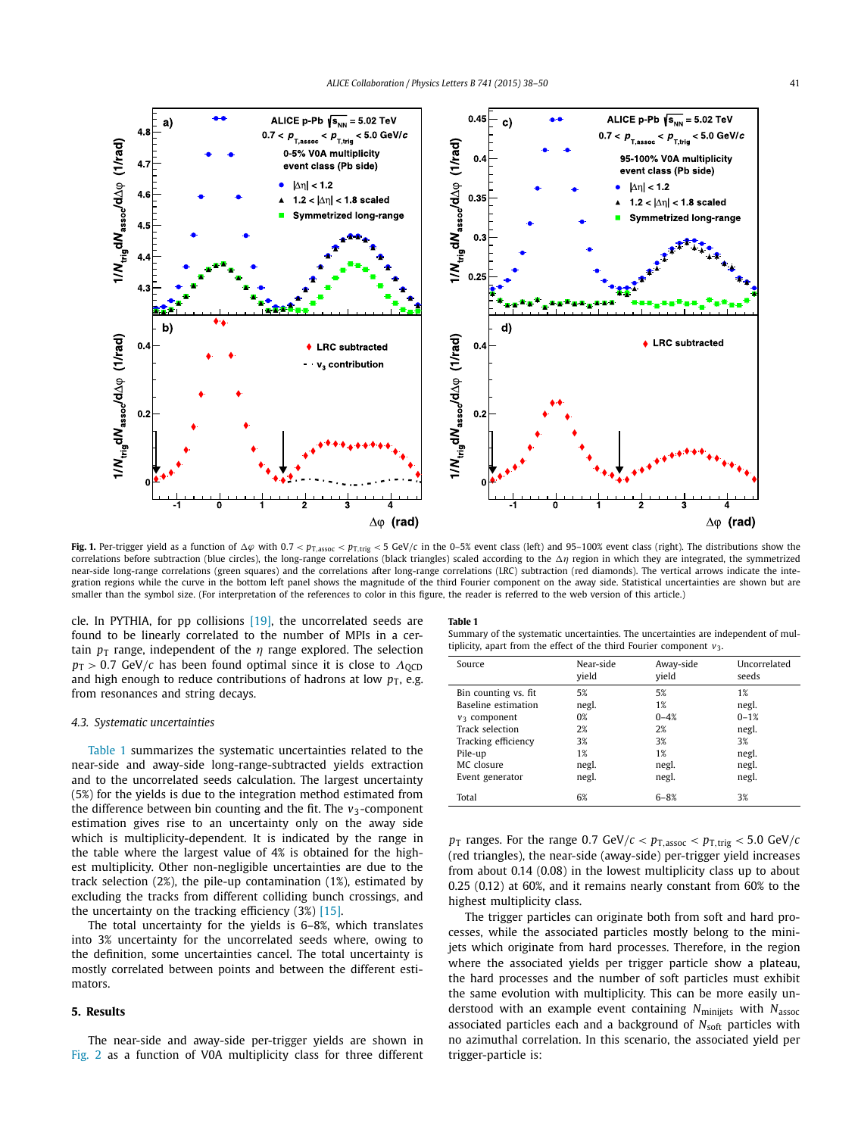<span id="page-3-0"></span>

Fig. 1. Per-trigger yield as a function of  $\Delta\varphi$  with 0.7 <  $p_{T,assoc}$  <  $p_{T,trig}$  < 5 GeV/c in the 0-5% event class (left) and 95-100% event class (right). The distributions show the correlations before subtraction (blue circles), the long-range correlations (black triangles) scaled according to the *η* region in which they are integrated, the symmetrized near-side long-range correlations (green squares) and the correlations after long-range correlations (LRC) subtraction (red diamonds). The vertical arrows indicate the integration regions while the curve in the bottom left panel shows the magnitude of the third Fourier component on the away side. Statistical uncertainties are shown but are smaller than the symbol size. (For interpretation of the references to color in this figure, the reader is referred to the web version of this article.)

cle. In PYTHIA, for pp collisions [\[19\],](#page-7-0) the uncorrelated seeds are found to be linearly correlated to the number of MPIs in a certain  $p_T$  range, independent of the  $\eta$  range explored. The selection  $p_T > 0.7$  GeV/*c* has been found optimal since it is close to  $\Lambda_{\text{QCD}}$ and high enough to reduce contributions of hadrons at low  $p<sub>T</sub>$ , e.g. from resonances and string decays.

# *4.3. Systematic uncertainties*

Table 1 summarizes the systematic uncertainties related to the near-side and away-side long-range-subtracted yields extraction and to the uncorrelated seeds calculation. The largest uncertainty (5%) for the yields is due to the integration method estimated from the difference between bin counting and the fit. The  $v_3$ -component estimation gives rise to an uncertainty only on the away side which is multiplicity-dependent. It is indicated by the range in the table where the largest value of 4% is obtained for the highest multiplicity. Other non-negligible uncertainties are due to the track selection (2%), the pile-up contamination (1%), estimated by excluding the tracks from different colliding bunch crossings, and the uncertainty on the tracking efficiency (3%) [\[15\].](#page-7-0)

The total uncertainty for the yields is 6–8%, which translates into 3% uncertainty for the uncorrelated seeds where, owing to the definition, some uncertainties cancel. The total uncertainty is mostly correlated between points and between the different estimators.

# **5. Results**

The near-side and away-side per-trigger yields are shown in [Fig. 2](#page-4-0) as a function of V0A multiplicity class for three different

#### **Table 1**

Summary of the systematic uncertainties. The uncertainties are independent of multiplicity, apart from the effect of the third Fourier component  $v_3$ .

| Source               | Near-side<br>vield | Away-side<br>vield | Uncorrelated<br>seeds |
|----------------------|--------------------|--------------------|-----------------------|
| Bin counting vs. fit | 5%                 | 5%                 | 1%                    |
| Baseline estimation  | negl.              | 1%                 | negl.                 |
| $v_3$ component      | 0 <sup>∞</sup>     | $0 - 4%$           | $0 - 1%$              |
| Track selection      | 2%                 | 2%                 | negl.                 |
| Tracking efficiency  | 3%                 | 3%                 | 3%                    |
| Pile-up              | 1%                 | 1%                 | negl.                 |
| MC closure           | negl.              | negl.              | negl.                 |
| Event generator      | negl.              | negl.              | negl.                 |
| Total                | 6%                 | $6 - 8%$           | 3%                    |

*p*<sub>T</sub> ranges. For the range 0.7 GeV/ $c < p_{\text{T,assoc}} < p_{\text{T,trig}} < 5.0$  GeV/ $c$ (red triangles), the near-side (away-side) per-trigger yield increases from about 0.14 (0.08) in the lowest multiplicity class up to about 0.25 (0.12) at 60%, and it remains nearly constant from 60% to the highest multiplicity class.

The trigger particles can originate both from soft and hard processes, while the associated particles mostly belong to the minijets which originate from hard processes. Therefore, in the region where the associated yields per trigger particle show a plateau, the hard processes and the number of soft particles must exhibit the same evolution with multiplicity. This can be more easily understood with an example event containing *N*<sub>minijets</sub> with *N*<sub>assoc</sub> associated particles each and a background of *N*<sub>soft</sub> particles with no azimuthal correlation. In this scenario, the associated yield per trigger-particle is: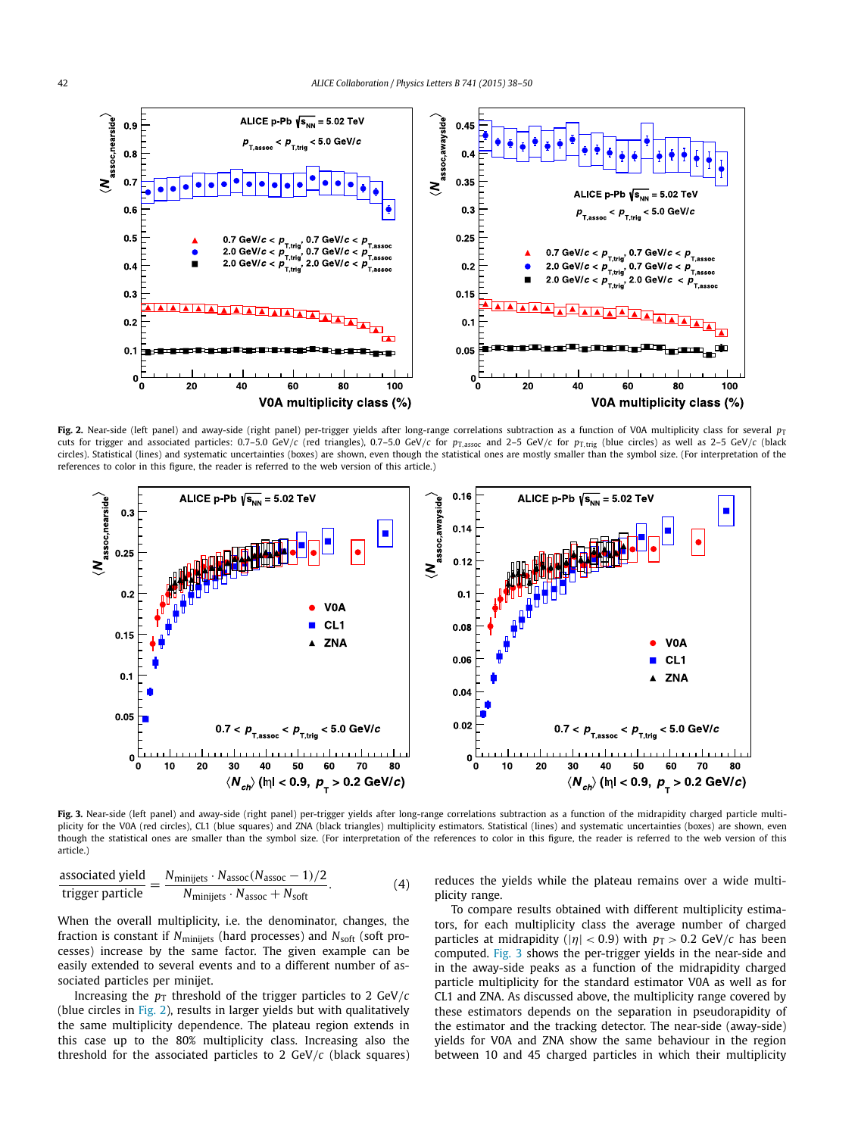<span id="page-4-0"></span>

Fig. 2. Near-side (left panel) and away-side (right panel) per-trigger yields after long-range correlations subtraction as a function of VOA multiplicity class for several  $p_T$ cuts for trigger and associated particles: 0.7-5.0 GeV/c (red triangles), 0.7-5.0 GeV/c for  $p_{T,assoc}$  and 2-5 GeV/c for  $p_{T,\text{trig}}$  (blue circles) as well as 2-5 GeV/c (black circles). Statistical (lines) and systematic uncertainties (boxes) are shown, even though the statistical ones are mostly smaller than the symbol size. (For interpretation of the references to color in this figure, the reader is referred to the web version of this article.)



Fig. 3. Near-side (left panel) and away-side (right panel) per-trigger yields after long-range correlations subtraction as a function of the midrapidity charged particle multiplicity for the V0A (red circles), CL1 (blue squares) and ZNA (black triangles) multiplicity estimators. Statistical (lines) and systematic uncertainties (boxes) are shown, even though the statistical ones are smaller than the symbol size. (For interpretation of the references to color in this figure, the reader is referred to the web version of this article.)

$$
\frac{\text{associated yield}}{\text{trigger particle}} = \frac{N_{\text{minijets}} \cdot N_{\text{assoc}} (N_{\text{assoc}} - 1)/2}{N_{\text{minijets}} \cdot N_{\text{assoc}} + N_{\text{soft}}}. \tag{4}
$$

reduces the yields while the plateau remains over a wide multiplicity range.

When the overall multiplicity, i.e. the denominator, changes, the fraction is constant if *N*<sub>minijets</sub> (hard processes) and *N*<sub>soft</sub> (soft processes) increase by the same factor. The given example can be easily extended to several events and to a different number of associated particles per minijet.

Increasing the  $p<sub>T</sub>$  threshold of the trigger particles to 2 GeV/ $c$ (blue circles in Fig. 2), results in larger yields but with qualitatively the same multiplicity dependence. The plateau region extends in this case up to the 80% multiplicity class. Increasing also the threshold for the associated particles to 2 GeV*/c* (black squares)

To compare results obtained with different multiplicity estimators, for each multiplicity class the average number of charged particles at midrapidity ( $|\eta|$  < 0.9) with  $p_T > 0.2$  GeV/*c* has been computed. Fig. 3 shows the per-trigger yields in the near-side and in the away-side peaks as a function of the midrapidity charged particle multiplicity for the standard estimator V0A as well as for CL1 and ZNA. As discussed above, the multiplicity range covered by these estimators depends on the separation in pseudorapidity of the estimator and the tracking detector. The near-side (away-side) yields for V0A and ZNA show the same behaviour in the region between 10 and 45 charged particles in which their multiplicity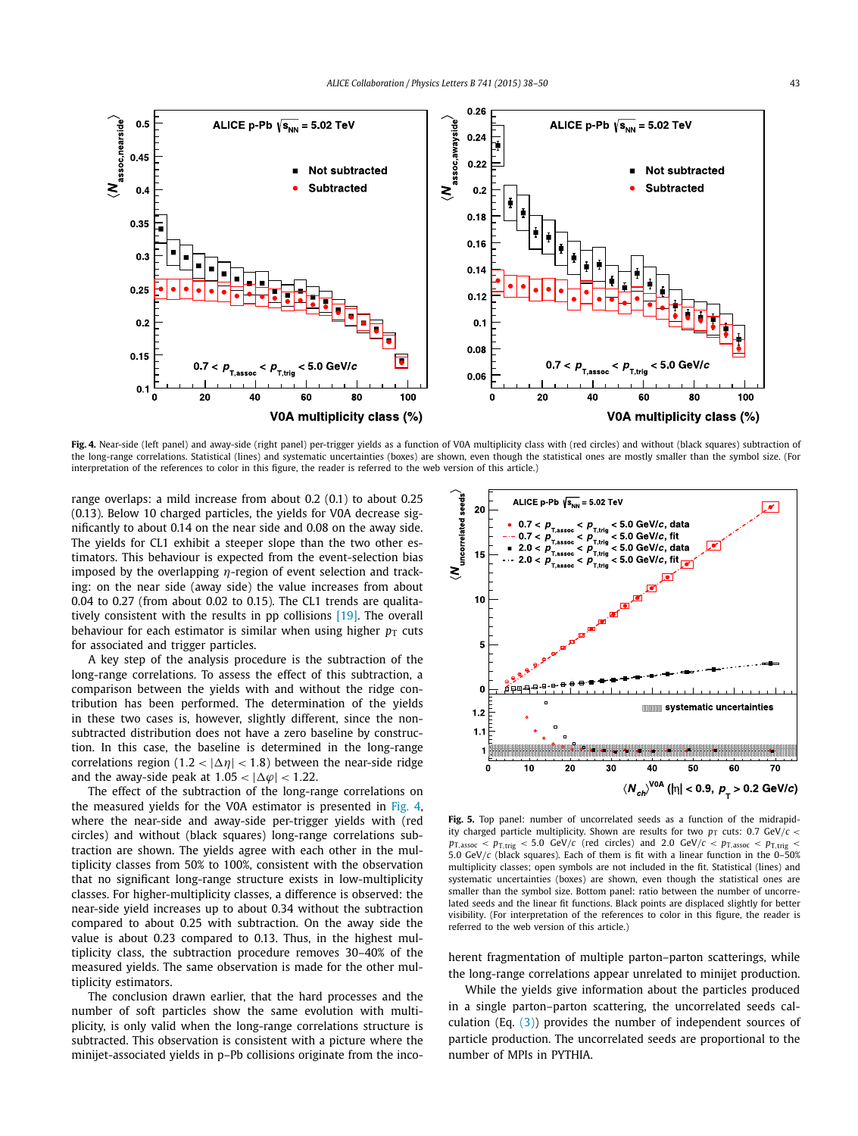<span id="page-5-0"></span>

Fig. 4. Near-side (left panel) and away-side (right panel) per-trigger yields as a function of VOA multiplicity class with (red circles) and without (black squares) subtraction of the long-range correlations. Statistical (lines) and systematic uncertainties (boxes) are shown, even though the statistical ones are mostly smaller than the symbol size. (For interpretation of the references to color in this figure, the reader is referred to the web version of this article.)

range overlaps: a mild increase from about 0.2 (0.1) to about 0.25 (0.13). Below 10 charged particles, the yields for V0A decrease significantly to about 0.14 on the near side and 0.08 on the away side. The yields for CL1 exhibit a steeper slope than the two other estimators. This behaviour is expected from the event-selection bias imposed by the overlapping *η*-region of event selection and tracking: on the near side (away side) the value increases from about 0.04 to 0.27 (from about 0.02 to 0.15). The CL1 trends are qualitatively consistent with the results in pp collisions [\[19\].](#page-7-0) The overall behaviour for each estimator is similar when using higher  $p<sub>T</sub>$  cuts for associated and trigger particles.

A key step of the analysis procedure is the subtraction of the long-range correlations. To assess the effect of this subtraction, a comparison between the yields with and without the ridge contribution has been performed. The determination of the yields in these two cases is, however, slightly different, since the nonsubtracted distribution does not have a zero baseline by construction. In this case, the baseline is determined in the long-range correlations region (1.2  $< |\Delta \eta|$  < 1.8) between the near-side ridge and the away-side peak at  $1.05 < |\Delta \varphi| < 1.22$ .

The effect of the subtraction of the long-range correlations on the measured yields for the V0A estimator is presented in Fig. 4, where the near-side and away-side per-trigger yields with (red circles) and without (black squares) long-range correlations subtraction are shown. The yields agree with each other in the multiplicity classes from 50% to 100%, consistent with the observation that no significant long-range structure exists in low-multiplicity classes. For higher-multiplicity classes, a difference is observed: the near-side yield increases up to about 0.34 without the subtraction compared to about 0.25 with subtraction. On the away side the value is about 0.23 compared to 0.13. Thus, in the highest multiplicity class, the subtraction procedure removes 30–40% of the measured yields. The same observation is made for the other multiplicity estimators.

The conclusion drawn earlier, that the hard processes and the number of soft particles show the same evolution with multiplicity, is only valid when the long-range correlations structure is subtracted. This observation is consistent with a picture where the minijet-associated yields in p–Pb collisions originate from the inco-



**Fig. 5.** Top panel: number of uncorrelated seeds as a function of the midrapidity charged particle multiplicity. Shown are results for two  $p_T$  cuts: 0.7 GeV/ $c$  <  $p_{\text{T,assoc}} < p_{\text{T,trig}} < 5.0$  GeV/*c* (red circles) and 2.0 GeV/*c*  $< p_{\text{T,assoc}} < p_{\text{T,trig}} <$ 5.0 GeV/ $c$  (black squares). Each of them is fit with a linear function in the 0–50% multiplicity classes; open symbols are not included in the fit. Statistical (lines) and systematic uncertainties (boxes) are shown, even though the statistical ones are smaller than the symbol size. Bottom panel: ratio between the number of uncorrelated seeds and the linear fit functions. Black points are displaced slightly for better visibility. (For interpretation of the references to color in this figure, the reader is referred to the web version of this article.)

herent fragmentation of multiple parton–parton scatterings, while the long-range correlations appear unrelated to minijet production.

While the yields give information about the particles produced in a single parton–parton scattering, the uncorrelated seeds calculation (Eq. [\(3\)\)](#page-2-0) provides the number of independent sources of particle production. The uncorrelated seeds are proportional to the number of MPIs in PYTHIA.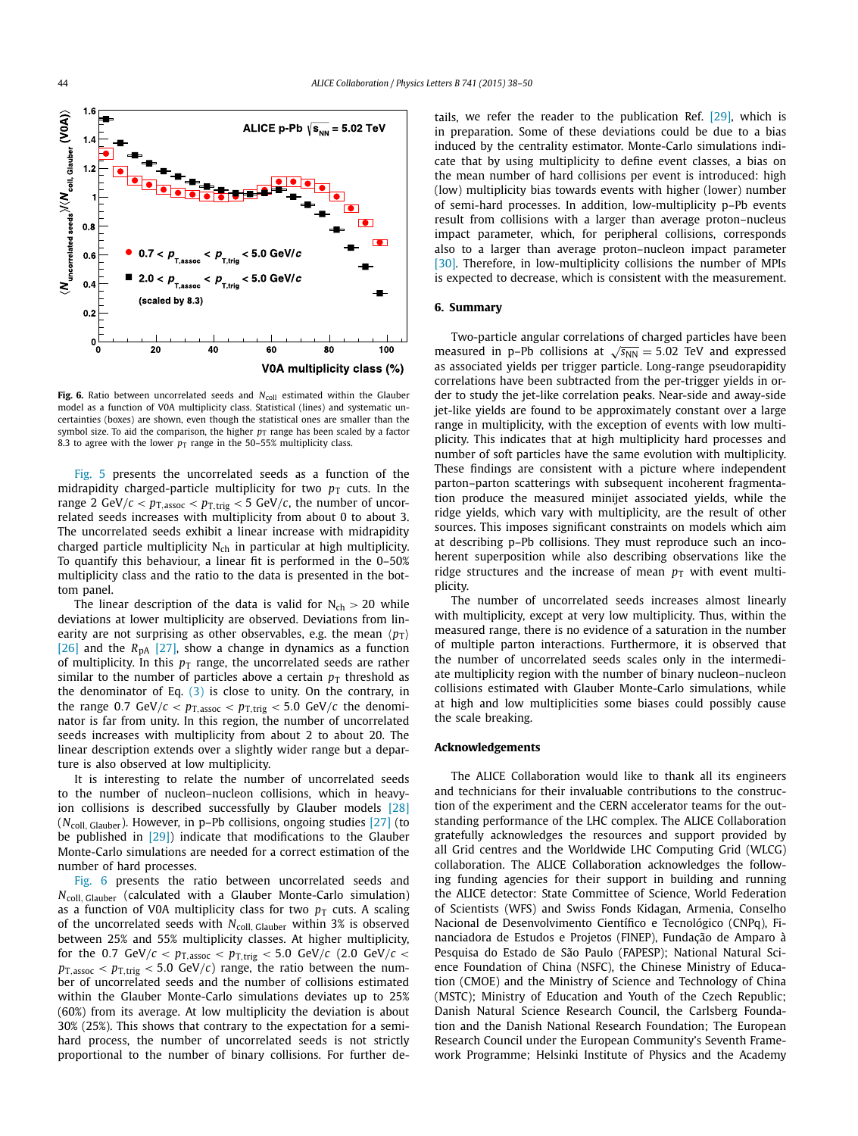

Fig. 6. Ratio between uncorrelated seeds and *N*<sub>coll</sub> estimated within the Glauber model as a function of V0A multiplicity class. Statistical (lines) and systematic uncertainties (boxes) are shown, even though the statistical ones are smaller than the symbol size. To aid the comparison, the higher  $p<sub>T</sub>$  range has been scaled by a factor 8.3 to agree with the lower  $p_T$  range in the 50–55% multiplicity class.

[Fig. 5](#page-5-0) presents the uncorrelated seeds as a function of the midrapidity charged-particle multiplicity for two  $p_T$  cuts. In the range 2 GeV/ $c < p_{\text{T,assoc}} < p_{\text{T,trig}} < 5$  GeV/ $c$ , the number of uncorrelated seeds increases with multiplicity from about 0 to about 3. The uncorrelated seeds exhibit a linear increase with midrapidity charged particle multiplicity  $N_{ch}$  in particular at high multiplicity. To quantify this behaviour, a linear fit is performed in the 0–50% multiplicity class and the ratio to the data is presented in the bottom panel.

The linear description of the data is valid for  $N_{ch} > 20$  while deviations at lower multiplicity are observed. Deviations from linearity are not surprising as other observables, e.g. the mean  $\langle p_T \rangle$ [\[26\]](#page-7-0) and the  $R_{\text{pA}}$  [\[27\],](#page-7-0) show a change in dynamics as a function of multiplicity. In this  $p<sub>T</sub>$  range, the uncorrelated seeds are rather similar to the number of particles above a certain  $p<sub>T</sub>$  threshold as the denominator of Eq.  $(3)$  is close to unity. On the contrary, in the range 0.7 GeV/ $c < p_{\text{T,assoc}} < p_{\text{T,trig}} < 5.0$  GeV/ $c$  the denominator is far from unity. In this region, the number of uncorrelated seeds increases with multiplicity from about 2 to about 20. The linear description extends over a slightly wider range but a departure is also observed at low multiplicity.

It is interesting to relate the number of uncorrelated seeds to the number of nucleon–nucleon collisions, which in heavyion collisions is described successfully by Glauber models [\[28\]](#page-7-0) (*N*coll*,* Glauber). However, in p–Pb collisions, ongoing studies [\[27\]](#page-7-0) (to be published in [\[29\]\)](#page-7-0) indicate that modifications to the Glauber Monte-Carlo simulations are needed for a correct estimation of the number of hard processes.

Fig. 6 presents the ratio between uncorrelated seeds and *N*coll*,* Glauber (calculated with a Glauber Monte-Carlo simulation) as a function of V0A multiplicity class for two  $p_T$  cuts. A scaling of the uncorrelated seeds with  $N_{\text{coll, Glauber}}$  within 3% is observed between 25% and 55% multiplicity classes. At higher multiplicity, for the 0.7 GeV/ $c < p_{T,assoc} < p_{T,trig} < 5.0$  GeV/ $c$  (2.0 GeV/ $c <$  $p_{\text{T,assoc}} < p_{\text{T,trig}} < 5.0 \text{ GeV/c}$  range, the ratio between the number of uncorrelated seeds and the number of collisions estimated within the Glauber Monte-Carlo simulations deviates up to 25% (60%) from its average. At low multiplicity the deviation is about 30% (25%). This shows that contrary to the expectation for a semihard process, the number of uncorrelated seeds is not strictly proportional to the number of binary collisions. For further details, we refer the reader to the publication Ref. [\[29\],](#page-7-0) which is in preparation. Some of these deviations could be due to a bias induced by the centrality estimator. Monte-Carlo simulations indicate that by using multiplicity to define event classes, a bias on the mean number of hard collisions per event is introduced: high (low) multiplicity bias towards events with higher (lower) number of semi-hard processes. In addition, low-multiplicity p–Pb events result from collisions with a larger than average proton–nucleus impact parameter, which, for peripheral collisions, corresponds also to a larger than average proton–nucleon impact parameter [\[30\].](#page-7-0) Therefore, in low-multiplicity collisions the number of MPIs is expected to decrease, which is consistent with the measurement.

### **6. Summary**

Two-particle angular correlations of charged particles have been measured in p–Pb collisions at  $\sqrt{s_{NN}}$  = 5.02 TeV and expressed as associated yields per trigger particle. Long-range pseudorapidity correlations have been subtracted from the per-trigger yields in order to study the jet-like correlation peaks. Near-side and away-side jet-like yields are found to be approximately constant over a large range in multiplicity, with the exception of events with low multiplicity. This indicates that at high multiplicity hard processes and number of soft particles have the same evolution with multiplicity. These findings are consistent with a picture where independent parton–parton scatterings with subsequent incoherent fragmentation produce the measured minijet associated yields, while the ridge yields, which vary with multiplicity, are the result of other sources. This imposes significant constraints on models which aim at describing p–Pb collisions. They must reproduce such an incoherent superposition while also describing observations like the ridge structures and the increase of mean  $p<sub>T</sub>$  with event multiplicity.

The number of uncorrelated seeds increases almost linearly with multiplicity, except at very low multiplicity. Thus, within the measured range, there is no evidence of a saturation in the number of multiple parton interactions. Furthermore, it is observed that the number of uncorrelated seeds scales only in the intermediate multiplicity region with the number of binary nucleon–nucleon collisions estimated with Glauber Monte-Carlo simulations, while at high and low multiplicities some biases could possibly cause the scale breaking.

# **Acknowledgements**

The ALICE Collaboration would like to thank all its engineers and technicians for their invaluable contributions to the construction of the experiment and the CERN accelerator teams for the outstanding performance of the LHC complex. The ALICE Collaboration gratefully acknowledges the resources and support provided by all Grid centres and the Worldwide LHC Computing Grid (WLCG) collaboration. The ALICE Collaboration acknowledges the following funding agencies for their support in building and running the ALICE detector: State Committee of Science, World Federation of Scientists (WFS) and Swiss Fonds Kidagan, Armenia, Conselho Nacional de Desenvolvimento Científico e Tecnológico (CNPq), Financiadora de Estudos e Projetos (FINEP), Fundação de Amparo à Pesquisa do Estado de São Paulo (FAPESP); National Natural Science Foundation of China (NSFC), the Chinese Ministry of Education (CMOE) and the Ministry of Science and Technology of China (MSTC); Ministry of Education and Youth of the Czech Republic; Danish Natural Science Research Council, the Carlsberg Foundation and the Danish National Research Foundation; The European Research Council under the European Community's Seventh Framework Programme; Helsinki Institute of Physics and the Academy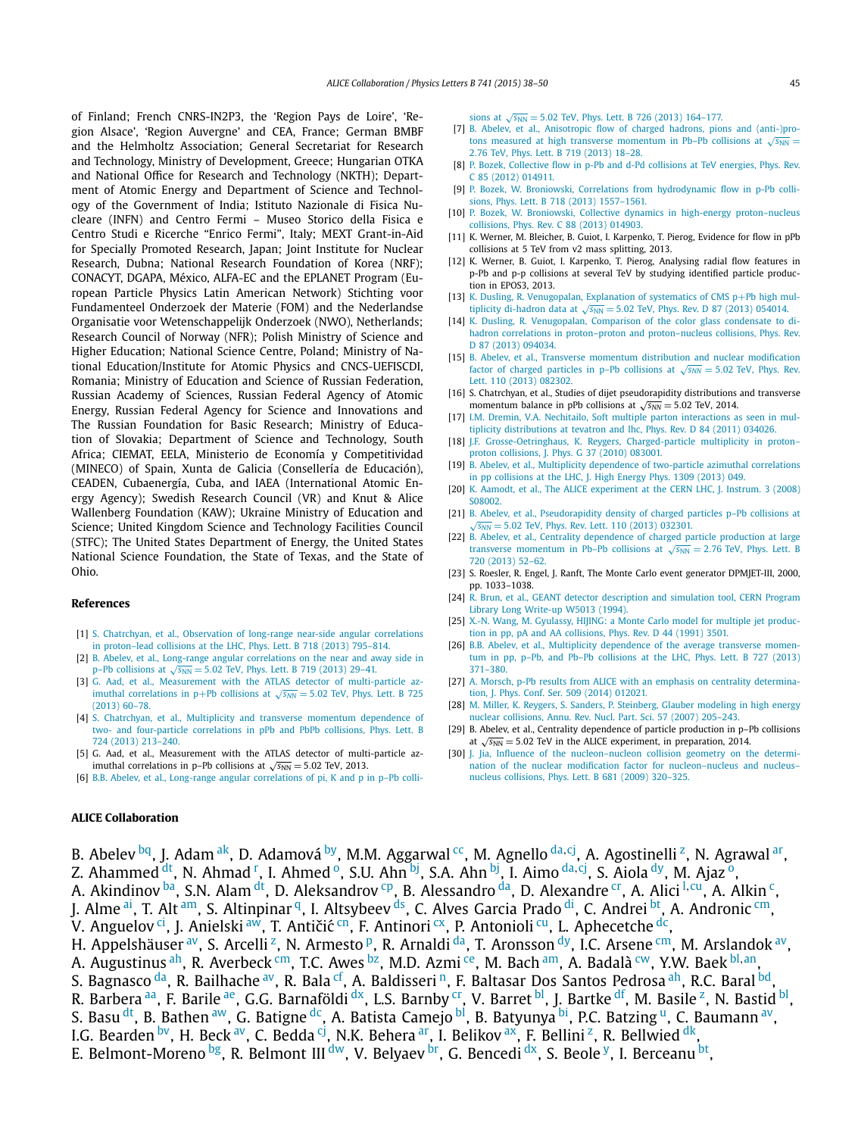<span id="page-7-0"></span>of Finland; French CNRS-IN2P3, the 'Region Pays de Loire', 'Region Alsace', 'Region Auvergne' and CEA, France; German BMBF and the Helmholtz Association; General Secretariat for Research and Technology, Ministry of Development, Greece; Hungarian OTKA and National Office for Research and Technology (NKTH); Department of Atomic Energy and Department of Science and Technology of the Government of India; Istituto Nazionale di Fisica Nucleare (INFN) and Centro Fermi – Museo Storico della Fisica e Centro Studi e Ricerche "Enrico Fermi", Italy; MEXT Grant-in-Aid for Specially Promoted Research, Japan; Joint Institute for Nuclear Research, Dubna; National Research Foundation of Korea (NRF); CONACYT, DGAPA, México, ALFA-EC and the EPLANET Program (European Particle Physics Latin American Network) Stichting voor Fundamenteel Onderzoek der Materie (FOM) and the Nederlandse Organisatie voor Wetenschappelijk Onderzoek (NWO), Netherlands; Research Council of Norway (NFR); Polish Ministry of Science and Higher Education; National Science Centre, Poland; Ministry of National Education/Institute for Atomic Physics and CNCS-UEFISCDI, Romania; Ministry of Education and Science of Russian Federation, Russian Academy of Sciences, Russian Federal Agency of Atomic Energy, Russian Federal Agency for Science and Innovations and The Russian Foundation for Basic Research; Ministry of Education of Slovakia; Department of Science and Technology, South Africa; CIEMAT, EELA, Ministerio de Economía y Competitividad (MINECO) of Spain, Xunta de Galicia (Consellería de Educación), CEADEN, Cubaenergía, Cuba, and IAEA (International Atomic Energy Agency); Swedish Research Council (VR) and Knut & Alice Wallenberg Foundation (KAW); Ukraine Ministry of Education and Science; United Kingdom Science and Technology Facilities Council (STFC); The United States Department of Energy, the United States National Science Foundation, the State of Texas, and the State of Ohio.

#### **References**

- [1] S. Chatrchyan, et al., [Observation](http://refhub.elsevier.com/S0370-2693(14)00830-2/bib434D533A32303132716Bs1) of long-range near-side angular correlations in [proton–lead](http://refhub.elsevier.com/S0370-2693(14)00830-2/bib434D533A32303132716Bs1) collisions at the LHC, Phys. Lett. B 718 (2013) 795–814.
- [2] B. Abelev, et al., Long-range angular [correlations](http://refhub.elsevier.com/S0370-2693(14)00830-2/bib616C6963655F70615F7269646765s1) on the near and away side in p–Pb [collisions](http://refhub.elsevier.com/S0370-2693(14)00830-2/bib616C6963655F70615F7269646765s1) at  $\sqrt{s_{NN}}$  = 5.02 TeV, Phys. Lett. B 719 (2013) 29–41.
- [3] G. Aad, et al., Measurement with the ATLAS detector of [multi-particle](http://refhub.elsevier.com/S0370-2693(14)00830-2/bib61746C61737269646765s1) azimuthal [correlations](http://refhub.elsevier.com/S0370-2693(14)00830-2/bib61746C61737269646765s1) in p+Pb collisions at  $\sqrt{s_{NN}}$  = 5.02 TeV, Phys. Lett. B 725 (2013) [60–78.](http://refhub.elsevier.com/S0370-2693(14)00830-2/bib61746C61737269646765s1)
- [4] S. Chatrchyan, et al., Multiplicity and transverse momentum [dependence](http://refhub.elsevier.com/S0370-2693(14)00830-2/bib4368617472636879616E3A323031336E6B61s1) of two- and [four-particle](http://refhub.elsevier.com/S0370-2693(14)00830-2/bib4368617472636879616E3A323031336E6B61s1) correlations in pPb and PbPb collisions, Phys. Lett. B 724 (2013) [213–240.](http://refhub.elsevier.com/S0370-2693(14)00830-2/bib4368617472636879616E3A323031336E6B61s1)
- [5] G. Aad, et al., Measurement with the ATLAS detector of multi-particle azimuthal correlations in p–Pb collisions at  $\sqrt{s_{NN}}$  = 5.02 TeV, 2013.
- [6] B.B. Abelev, et al., Long-range angular [correlations](http://refhub.elsevier.com/S0370-2693(14)00830-2/bib4142454C45563A32303133777361s1) of pi, K and p in p–Pb colli-

sions at  $\sqrt{s_{NN}}$  = 5.02 TeV, Phys. Lett. B 726 (2013) [164–177.](http://refhub.elsevier.com/S0370-2693(14)00830-2/bib4142454C45563A32303133777361s1)

- [7] B. Abelev, et al., [Anisotropic](http://refhub.elsevier.com/S0370-2693(14)00830-2/bib4162656C65763A323031326469s1) flow of charged hadrons, pions and (anti-)protons measured at high transverse [momentum](http://refhub.elsevier.com/S0370-2693(14)00830-2/bib4162656C65763A323031326469s1) in Pb–Pb collisions at  $\sqrt{s_{NN}}$  = 2*.*[76 TeV,](http://refhub.elsevier.com/S0370-2693(14)00830-2/bib4162656C65763A323031326469s1) Phys. Lett. B 719 (2013) 18–28.
- [8] P. Bozek, [Collective](http://refhub.elsevier.com/S0370-2693(14)00830-2/bib426F7A656B3A323031316966s1) flow in p-Pb and d-Pd collisions at TeV energies, Phys. Rev. C 85 (2012) [014911.](http://refhub.elsevier.com/S0370-2693(14)00830-2/bib426F7A656B3A323031316966s1)
- [9] P. Bozek, W. Broniowski, Correlations from [hydrodynamic](http://refhub.elsevier.com/S0370-2693(14)00830-2/bib426F7A656B3A323031326772s1) flow in p-Pb collisions, Phys. Lett. B 718 (2013) [1557–1561.](http://refhub.elsevier.com/S0370-2693(14)00830-2/bib426F7A656B3A323031326772s1)
- [10] P. Bozek, W. Broniowski, Collective dynamics in high-energy [proton–nucleus](http://refhub.elsevier.com/S0370-2693(14)00830-2/bib426F7A656B3A32303133756861s1) [collisions,](http://refhub.elsevier.com/S0370-2693(14)00830-2/bib426F7A656B3A32303133756861s1) Phys. Rev. C 88 (2013) 014903.
- [11] K. Werner, M. Bleicher, B. Guiot, I. Karpenko, T. Pierog, Evidence for flow in pPb collisions at 5 TeV from v2 mass splitting, 2013.
- [12] K. Werner, B. Guiot, I. Karpenko, T. Pierog, Analysing radial flow features in p-Pb and p-p collisions at several TeV by studying identified particle production in EPOS3, 2013.
- [13] K. Dusling, R. [Venugopalan,](http://refhub.elsevier.com/S0370-2693(14)00830-2/bib4475736C696E673A323031327779s1) Explanation of systematics of CMS p+Pb high multiplicity [di-hadron](http://refhub.elsevier.com/S0370-2693(14)00830-2/bib4475736C696E673A323031327779s1) data at  $\sqrt{s_{NN}}$  = 5.02 TeV, Phys. Rev. D 87 (2013) 054014.
- [14] K. Dusling, R. [Venugopalan,](http://refhub.elsevier.com/S0370-2693(14)00830-2/bib4475736C696E673A323031336F6961s1) Comparison of the color glass condensate to dihadron correlations in proton–proton and [proton–nucleus](http://refhub.elsevier.com/S0370-2693(14)00830-2/bib4475736C696E673A323031336F6961s1) collisions, Phys. Rev. D 87 (2013) [094034.](http://refhub.elsevier.com/S0370-2693(14)00830-2/bib4475736C696E673A323031336F6961s1)
- [15] B. Abelev, et al., Transverse momentum distribution and nuclear [modification](http://refhub.elsevier.com/S0370-2693(14)00830-2/bib414C4943453A323031326D6As1) factor of charged particles in p–Pb [collisions](http://refhub.elsevier.com/S0370-2693(14)00830-2/bib414C4943453A323031326D6As1) at  $\sqrt{s_{NN}}$  = 5.02 TeV, Phys. Rev. Lett. 110 (2013) [082302.](http://refhub.elsevier.com/S0370-2693(14)00830-2/bib414C4943453A323031326D6As1)
- [16] S. Chatrchyan, et al., Studies of dijet pseudorapidity distributions and transverse momentum balance in pPb collisions at  $\sqrt{s_{NN}}$  = 5.02 TeV, 2014.
- [17] I.M. Dremin, V.A. Nechitailo, Soft multiple parton [interactions](http://refhub.elsevier.com/S0370-2693(14)00830-2/bib50687973526576442E38342E303334303236s1) as seen in multiplicity [distributions](http://refhub.elsevier.com/S0370-2693(14)00830-2/bib50687973526576442E38342E303334303236s1) at tevatron and lhc, Phys. Rev. D 84 (2011) 034026.
- [18] J.F. [Grosse-Oetringhaus,](http://refhub.elsevier.com/S0370-2693(14)00830-2/bib4A46s1) K. Reygers, Charged-particle multiplicity in protonproton [collisions,](http://refhub.elsevier.com/S0370-2693(14)00830-2/bib4A46s1) J. Phys. G 37 (2010) 083001.
- [19] B. Abelev, et al., Multiplicity dependence of [two-particle](http://refhub.elsevier.com/S0370-2693(14)00830-2/bib4162656C65763A32303133737161s1) azimuthal correlations in pp [collisions](http://refhub.elsevier.com/S0370-2693(14)00830-2/bib4162656C65763A32303133737161s1) at the LHC, J. High Energy Phys. 1309 (2013) 049.
- [20] K. Aamodt, et al., The ALICE [experiment](http://refhub.elsevier.com/S0370-2693(14)00830-2/bib41616D6F64743A323030387A7As1) at the CERN LHC, J. Instrum. 3 (2008) [S08002.](http://refhub.elsevier.com/S0370-2693(14)00830-2/bib41616D6F64743A323030387A7As1)
- [21] [B.](http://refhub.elsevier.com/S0370-2693(14)00830-2/bib414C4943453A323031327873s1) Abelev, et al., Pseudorapidity density of charged particles p–Pb collisions at  $\sqrt{s_{NN}}$  = 5.02 TeV, Phys. Rev. Lett. 110 (2013) [032301.](http://refhub.elsevier.com/S0370-2693(14)00830-2/bib414C4943453A323031327873s1)
- [22] B. Abelev, et al., Centrality [dependence](http://refhub.elsevier.com/S0370-2693(14)00830-2/bib4162656C65763A32303132687861s1) of charged particle production at large transverse [momentum](http://refhub.elsevier.com/S0370-2693(14)00830-2/bib4162656C65763A32303132687861s1) in Pb–Pb collisions at  $\sqrt{s_{NN}} = 2.76$  TeV, Phys. Lett. B 720 (2013) [52–62.](http://refhub.elsevier.com/S0370-2693(14)00830-2/bib4162656C65763A32303132687861s1)
- [23] S. Roesler, R. Engel, J. Ranft, The Monte Carlo event generator DPMJET-III, 2000, pp. 1033–1038.
- [24] R. Brun, et al., GEANT detector [description](http://refhub.elsevier.com/S0370-2693(14)00830-2/bib6765616E743372656632s1) and simulation tool, CERN Program Library Long [Write-up](http://refhub.elsevier.com/S0370-2693(14)00830-2/bib6765616E743372656632s1) W5013 (1994).
- [25] X.-N. Wang, M. [Gyulassy,](http://refhub.elsevier.com/S0370-2693(14)00830-2/bib68696A696E67s1) HIJING: a Monte Carlo model for multiple jet production in pp, pA and AA [collisions,](http://refhub.elsevier.com/S0370-2693(14)00830-2/bib68696A696E67s1) Phys. Rev. D 44 (1991) 3501.
- [26] B.B. Abelev, et al., Multiplicity [dependence](http://refhub.elsevier.com/S0370-2693(14)00830-2/bib4162656C65763A32303133626C61s1) of the average transverse momentum in pp, p–Pb, and Pb–Pb [collisions](http://refhub.elsevier.com/S0370-2693(14)00830-2/bib4162656C65763A32303133626C61s1) at the LHC, Phys. Lett. B 727 (2013) [371–380.](http://refhub.elsevier.com/S0370-2693(14)00830-2/bib4162656C65763A32303133626C61s1)
- [27] A. Morsch, p-Pb results from ALICE with an emphasis on centrality [determina](http://refhub.elsevier.com/S0370-2693(14)00830-2/bib666F72746865414C4943453A32303133787261s1)tion, J. Phys. Conf. Ser. 509 (2014) [012021.](http://refhub.elsevier.com/S0370-2693(14)00830-2/bib666F72746865414C4943453A32303133787261s1)
- [28] M. Miller, K. Reygers, S. Sanders, P. [Steinberg,](http://refhub.elsevier.com/S0370-2693(14)00830-2/bib476C6175626572s1) Glauber modeling in high energy nuclear [collisions,](http://refhub.elsevier.com/S0370-2693(14)00830-2/bib476C6175626572s1) Annu. Rev. Nucl. Part. Sci. 57 (2007) 205–243.
- [29] B. Abelev, et al., Centrality dependence of particle production in p–Pb collisions at  $\sqrt{s_{NN}}$  = 5.02 TeV in the ALICE experiment, in preparation, 2014.
- [30] J. Jia, Influence of the nucleon-nucleon collision geometry on the determination of the nuclear modification factor for [nucleon–nucleus](http://refhub.elsevier.com/S0370-2693(14)00830-2/bib4A69613A323030396D71s1) and nucleus– nucleus [collisions,](http://refhub.elsevier.com/S0370-2693(14)00830-2/bib4A69613A323030396D71s1) Phys. Lett. B 681 (2009) 320–325.

# **ALICE Collaboration**

B. Abelev <sup>bq</sup>, J. A[da](#page-11-0)m <sup>ak</sup>, D. Adamová <sup>by</sup>, M.M. Aggarwal <sup>cc</sup>, M. Agnello <sup>da,cj</sup>, A. Agostinelli <sup>z</sup>, N. Agrawal <sup>ar</sup>,

Z. Ahammed <sup>dt</sup>, N. Ahmad <sup>[r](#page-10-0)</sup>, I. Ahmed <sup>o</sup>, S.U. Ahn [bj,](#page-11-0) S.A. Ahn bj, I. Aimo <sup>[da](#page-11-0),cj</sup>, S. Aiola <sup>dy</sup>, M. Ajaz <sup>o</sup>,

A. Akindinov <sup>[ba](#page-11-0)</sup>, S.N. A[l](#page-10-0)am <sup>dt</sup>, D. Aleksandrov <sup>cp</sup>, B. Alessandro <sup>da</sup>, D. Alexandre <sup>cr</sup>, A. Alici <sup>l,cu</sup>, A. Alkin <sup>c</sup>,

J. Alme <sup>ai</sup>, T. Alt <sup>am</sup>, S. Altinpinar <sup>[q](#page-10-0)</sup>, I. Altsybeev <sup>ds</sup>, C. Alves Garcia Prado <sup>di</sup>, C. Andrei <sup>bt</sup>, A. Andronic <sup>cm</sup>,

- V. Anguelov<sup>ci</sup>, J. Anielski [aw,](#page-11-0) T. Antičić <sup>cn</sup>, F. Antinori Cx, P. Antonioli <sup>cu</sup>, L. Aphecetche [dc](#page-11-0),
- H. Appelshäuser <sup>av</sup>, S. Arcelli <sup>z</sup>, N. Armesto <sup>p</sup>, R. Arnaldi <sup>da</sup>, T. Aronsson <sup>dy</sup>, I.C. Arsene <sup>cm</sup>, M. Arslandok <sup>av</sup>,
- A. Augustinus [ah,](#page-10-0) R. Averbeck [cm,](#page-11-0) T.C. Awes [bz,](#page-11-0) M.D. Azmi [ce](#page-11-0), M. Bach [am,](#page-10-0) A. Badalà [cw](#page-11-0), Y.W. Baek [bl](#page-11-0)*,*[an](#page-10-0),
- S. Bagnasco <sup>[da](#page-11-0)</sup>, R. Bailhache <sup>av</sup>, R. Bala <sup>cf</sup>, A. Baldisseri <sup>n</sup>, F. Baltasar Dos Santos Pedrosa <sup>[ah](#page-10-0)</sup>, R.C. Baral <sup>bd</sup>,
- R. Barbera <sup>aa</sup>, F. Barile <sup>[ae](#page-10-0)</sup>, G.G. Barnaföldi <sup>dx</sup>, L.S. Barnby <sup>cr</sup>, V. Barret <sup>[bl](#page-11-0)</sup>, J. Bartke <sup>df</sup>, M. Basile <sup>z</sup>, N. Bastid <sup>bl</sup>,
- S. Basu <sup>dt</sup>, B. Bathen <sup>aw</sup>, G. Batigne <sup>dc</sup>, A. Batista Camejo <sup>bl</sup>, B. Batyunya <sup>bi</sup>, P.C. Batzing <sup>u</sup>, C. Baumann <sup>av</sup>,
- I.G. Bearden <sup>[bv](#page-11-0)</sup>, H. Beck <sup>[av](#page-11-0)</sup>, C. Bedda <sup>cj</sup>, N.K. Behera <sup>ar</sup>, I. Belikov <sup>ax</sup>, F. Bellini <sup>z</sup>, R. Bellwied <sup>dk</sup>,
- E. Belmont-Moreno <sup>bg</sup>, R. Belmont III<sup>dw</sup>, V. Bel[y](#page-10-0)aev <sup>br</sup>, G. Bencedi <sup>dx</sup>, S. Beole <sup>y</sup>, I. Berceanu <sup>[bt](#page-11-0)</sup>,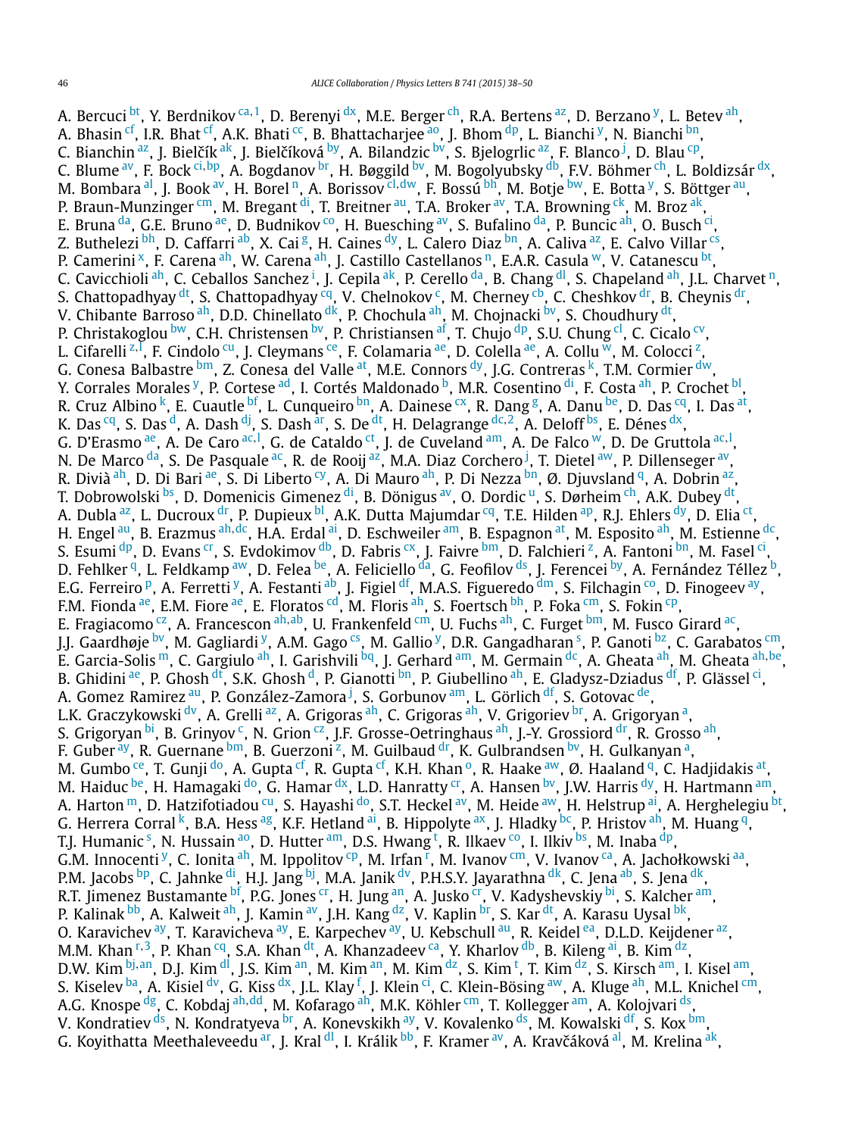A. Bercuci <sup>[bt](#page-11-0)</sup>, Y. Berdnikov <sup>[ca](#page-11-0), 1</sup>, D. Berenyi [dx,](#page-12-0) M.E. Berger [ch](#page-11-0), R.A. Bertens <sup>az</sup>, D. Berzano <sup>y</sup>, L. Betev [ah,](#page-10-0) A. Bhasin <sup>cf</sup>, I.R. Bhat <sup>cf</sup>, A.K. Bhati <sup>cc</sup>, B. Bhattacharjee <sup>ao</sup>, J. Bhom <sup>dp</sup>, L. Bianchi <sup>y</sup>, N. Bianchi <sup>bn</sup>, C. Bianchin <sup>az</sup>, J. Bielčík <sup>ak</sup>, J. Bielčíková <sup>by</sup>, A. Bilandzic <sup>bv</sup>, S. B[j](#page-10-0)elogrlic <sup>az</sup>, F. Blanco <sup>j</sup>, D. Blau <sup>cp</sup>, C. Blume <sup>av</sup>, F. Bock <sup>[ci](#page-11-0),bp</sup>, A. Bogdanov <sup>br</sup>, H. Bøggild <sup>[bv](#page-11-0)</sup>, M. Bogolyubsky <sup>[db](#page-11-0)</sup>, F.V. Böhmer <sup>ch</sup>, L. Boldizsár <sup>dx</sup>, M. Bombara [al,](#page-10-0) J. Book [av](#page-11-0), H. Borel [n,](#page-10-0) A. Borissov [cl](#page-11-0)*,*[dw,](#page-12-0) F. Bossú [bh,](#page-11-0) M. Botje [bw](#page-11-0), E. Botta [y,](#page-10-0) S. Böttger [au,](#page-11-0) P. Braun-Munzinger [cm,](#page-11-0) M. Bregant [di,](#page-11-0) T. Breitner [au](#page-11-0), T.A. Broker [av,](#page-11-0) T.A. Browning [ck,](#page-11-0) M. Broz [ak,](#page-10-0) E. Bruna <sup>da</sup>, G.E. Bruno <sup>ae</sup>, D. Budnikov <sup>[co](#page-11-0)</sup>, H. Buesching <sup>av</sup>, S. Bufalino <sup>da</sup>, P. Bun[ci](#page-11-0)c <sup>ah</sup>, O. Busch <sup>ci</sup>, Z. Buthelezi <sup>bh</sup>, D. Caffarri <sup>ab</sup>, X. Cai <sup>g</sup>, H. Caines <sup>dy</sup>, L. Calero Diaz <sup>bn</sup>, A. Caliva <sup>az</sup>, E. Calvo Villar <sup>cs</sup>, P. Camerini<sup>x</sup>, F. Carena [ah,](#page-10-0) W. Carena ah, J. Castillo Castellanos <sup>n</sup>, E.A.R. Casula <sup>w</sup>, V. Catanescu <sup>[bt](#page-11-0)</sup>, C. Cav[i](#page-10-0)cchioli <sup>ah</sup>, C. Ceballos Sanchez <sup>i</sup>, J. Cepila <sup>[ak](#page-10-0)</sup>, P. Cerello <sup>da</sup>, B. Chang <sup>dl</sup>, S. Chapeland <sup>[ah](#page-10-0)</sup>, J.L. Charvet <sup>n</sup>, S. Chattopadhyay <sup>dt</sup>, S. Chattopadhyay <sup>cq</sup>, V. Chelnokov <sup>c</sup>, M. Cherney <sup>cb</sup>, C. Cheshkov <sup>dr</sup>, B. Cheynis <sup>dr</sup>, V. Chibante Barroso <sup>ah</sup>, D.D. Chinellato <sup>dk</sup>, P. Chochula <sup>ah</sup>, M. Chojnacki <sup>bv</sup>, S. Choudhury <sup>dt</sup>, P. Christakoglou <sup>[bw](#page-11-0)</sup>, C.H. Christensen <sup>bv</sup>, P. Christiansen <sup>af</sup>, T. Chujo <sup>dp</sup>, S.U. Chung <sup>cl</sup>, C. Cicalo <sup>cv</sup>, L. Cifarelli <sup>[z](#page-10-0), J</sup>, F. Cindo[l](#page-10-0)o <sup>cu</sup>, J. Cleymans <sup>ce</sup>, F. Colamaria <sup>ae</sup>, D. Colella <sup>ae</sup>, A. Collu <sup>w</sup>, M. Colocci <sup>z</sup>, G. Conesa Balbastre  $\frac{bm}{m}$ , Z. Conesa del Valle [at,](#page-11-0) M.E. Connors  $\frac{dy}{dx}$ , J.G. Contreras [k,](#page-10-0) T.M. Cormier  $\frac{dw}{dx}$  $\frac{dw}{dx}$  $\frac{dw}{dx}$ , Y. Corrales Morales <sup>y</sup>, P. Cortese <sup>ad</sup>, I. Cortés Maldonado <sup>b</sup>, M.R. Cosentino [di,](#page-11-0) F. Costa <sup>ah</sup>, P. Crochet <sup>bl</sup>, R. Cruz Albino <sup>k</sup>, E. Cuautle <sup>bf</sup>, L. Cunqueiro <sup>[bn](#page-11-0)</sup>, A. Dainese <sup>[cx](#page-11-0)</sup>, R. Dang <sup>g</sup>, A. Danu <sup>be</sup>, D. Das <sup>cq</sup>, I. Das <sup>at</sup>, K. Das <sup>cq</sup>, S. Das <sup>d</sup>, A. Dash <sup>dj</sup>, S. Dash <sup>ar</sup>, S. De <sup>dt</sup>, H. Delagrange <sup>[dc](#page-11-0),[2](#page-12-0)</sup>, A. Deloff <sup>bs</sup>, E. Dénes <sup>[dx](#page-12-0)</sup>, G. D'Erasmo <sup>ae</sup>, A. De Caro <sup>[ac](#page-10-0), [l](#page-10-0)</sup>, G. de Cataldo <sup>ct</sup>, J. de Cuveland <sup>am</sup>, A. De Falco <sup>w</sup>, D. De Gruttola <sup>ac, l</sup>, N. De Marco <sup>da</sup>, S. De Pasquale <sup>ac</sup>, R. de Rooi[j](#page-10-0) <sup>az</sup>, M.A. Diaz Corchero <sup>j</sup>, T. Dietel <sup>aw</sup>, P. Dillenseger <sup>av</sup>, R. Divià <sup>ah</sup>, D. Di Bari <sup>ae</sup>, S. Di Liberto <sup>cy</sup>, A. Di Mauro <sup>ah</sup>, P. Di Nezza <sup>bn</sup>, Ø. Djuvsland <sup>q</sup>, A. Dobrin <sup>az</sup>, T. Dobrowolski [bs,](#page-11-0) D. Domenicis Gimenez [di,](#page-11-0) B. Dönigus [av,](#page-11-0) O. Dordic [u](#page-10-0), S. Dørheim [ch](#page-11-0), A.K. Dubey [dt,](#page-12-0) A. Dubla <sup>az</sup>, L. Ducroux <sup>dr</sup>, P. Dupieux <sup>bl</sup>, A.K. Dutta Majumdar <sup>cq</sup>, T.E. Hilden <sup>ap</sup>, R.J. Ehlers <sup>dy</sup>, D. Elia <sup>ct</sup>, H. Engel [au,](#page-11-0) B. Erazmus [ah](#page-10-0), [dc,](#page-11-0) H.A. Erdal [ai,](#page-10-0) D. Eschweiler [am,](#page-10-0) B. Espagnon [at,](#page-11-0) M. Esposito ah, M. Estienne dc, S. Esumi <sup>dp</sup>, D. Evans <sup>cr</sup>, S. Evdokimov <sup>db</sup>, D. Fabris <sup>cx</sup>, J. Faivre <sup>bm</sup>, D. Falchieri <sup>z</sup>, A. Fantoni <sup>bn</sup>, M. Fasel <sup>ci</sup>, D. Fehlker <sup>q</sup>, L. Feldkamp <sup>aw</sup>, D. Felea <sup>be</sup>, A. Feliciello <sup>da</sup>, G. Feofilov <sup>ds</sup>, J. Ferencei <sup>by</sup>, A. Fernández Téllez <sup>b</sup>, E.G. Ferreiro <sup>p</sup>, A. Ferretti <sup>y</sup>, A. Festanti <sup>ab</sup>, J. Figiel <sup>df</sup>, M.A.S. Figueredo <sup>dm</sup>, S. Filchagin <sup>[co](#page-11-0)</sup>, D. Finogeev <sup>ay</sup>, F.M. Fionda <sup>ae</sup>, E.M. Fiore <sup>ae</sup>, E. Floratos <sup>cd</sup>, M. Floris <sup>ah</sup>, S. Foertsch <sup>bh</sup>, P. Foka <sup>cm</sup>, S. Fokin <sup>cp</sup>, E. Fragiacomo <sup>cz</sup>, A. Francescon [ah](#page-10-0),[ab,](#page-10-0) U. Frankenfeld [cm,](#page-11-0) U. Fuchs [ah,](#page-10-0) C. Furget [bm,](#page-11-0) M. Fusco Girard [ac](#page-10-0), J.J. Gaardhøje <sup>bv</sup>, M. Gagliardi <sup>[y](#page-10-0)</[s](#page-10-0)up>, A.M. Gago <sup>cs</sup>, M. Gallio <sup>y</sup>, D.R. Gangadharan <sup>s</sup>, P. Ganoti <sup>bz</sup>, C. Garabatos <sup>cm</sup>, E. Garcia-Solis [m,](#page-10-0) C. Gargiulo [ah,](#page-10-0) I. Garishvili [bq](#page-11-0), J. Gerhard [am,](#page-10-0) M. Germain [dc,](#page-11-0) A. Gheata [ah,](#page-10-0) M. Gheata [ah](#page-10-0)*,*[be,](#page-11-0) B. Ghidini [ae,](#page-10-0) P. Ghosh [dt](#page-12-0), S.K. Ghosh [d,](#page-10-0) P. Gianotti [bn,](#page-11-0) P. Giubellino [ah,](#page-10-0) E. Gladysz-Dziadus [df,](#page-11-0) P. Glässel [ci,](#page-11-0) A. Gomez Ramirez <sup>au</sup>, P. González-Zamora <sup>[j](#page-10-0)</sup>, S. Gorbunov <sup>am</sup>, L. Görlich <sup>df</sup>, S. Gotovac <sup>de</sup>, L.K. Graczykowski [dv,](#page-12-0) A. Grelli [az,](#page-11-0) A. Grigoras [ah,](#page-10-0) C. Grigoras ah, V. Grigoriev [br,](#page-11-0) A. Grigory[a](#page-10-0)n a, S. Grigoryan [bi,](#page-11-0) B. Grinyov<sup>c</sup>, N. Grion<sup>cz</sup>, J.F. Grosse-Oetringhaus <sup>ah</sup>, J.-Y. Grossiord [dr,](#page-11-0) R. Grosso <sup>ah</sup>, F. Guber <sup>ay</sup>, R. Guernane <sup>bm</sup>, B. Guerzoni <sup>z</sup>, M. Guilbaud <sup>dr</sup>, K. Gulbrandsen <sup>bv</sup>, H. Gulkanyan <sup>a</sup>, M. Gumbo <sup>ce</sup>, T. Gunji <sup>do</sup>, A. Gupta <sup>cf</sup>, R. Gupta <sup>cf</sup>, K.H. Khan <sup>o</sup>, R. Haake <sup>aw</sup>, Ø. Haaland <sup>q</sup>, C. Hadjidakis <sup>at</sup>, M. Haiduc <sup>be</sup>, H. Hamagaki <sup>do</sup>, G. Hamar <sup>dx</sup>, L.D. Hanratty <sup>cr</sup>, A. Hansen <sup>bv</sup>, J.W. Harris <sup>dy</sup>, H. Hartmann <sup>am</sup>, A. Harton <sup>[m](#page-10-0)</sup>, D. Hatzifotiadou <sup>cu</sup>, S. Hayashi <sup>do</sup>, S.T. Heckel <sup>av</sup>, M. Heide <sup>aw</sup>, H. Helstrup <sup>ai</sup>, A. Herghelegiu <sup>bt</sup>, G. Herrera Corral [k,](#page-10-0) B.A. Hess [ag,](#page-10-0) K.F. Hetland [ai,](#page-10-0) B. Hippolyte [ax,](#page-11-0) J. Hladky [bc,](#page-11-0) P. Hristov [ah,](#page-10-0) M. Huang  $q$ , T.J. Humanic <[s](#page-10-0)up>s</sup>, N. Hussain <sup>ao</sup>, D. Hu[t](#page-10-0)ter <sup>am</sup>, D.S. Hwang <sup>t</sup>, R. Ilkaev <sup>co</sup>, I. Ilkiv <sup>[bs](#page-11-0)</sup>, M. Inaba <sup>dp</sup>, G.M. Innocenti <sup>y</sup>, C. Ionita <sup>ah</sup>, M. Ippolitov <sup>cp</sup>, M. I[r](#page-10-0)fan <sup>r</sup>, M. Ivanov <sup>cm</sup>, V. Ivanov <sup>ca</sup>, A. Jachołkowski <sup>aa</sup>, P.M. Jacobs <sup>bp</sup>, C. Jahnke <sup>di</sup>, H.J. Jang <sup>bj</sup>, M.A. Janik <sup>[dv](#page-12-0)</sup>, P.H.S.Y. Jayarathna <sup>[dk](#page-11-0)</sup>, C. Jena <sup>ab</sup>, S. Jena <sup>dk</sup>, R.T. Jimenez Bustamante <sup>bf</sup>, P.G. Jones <sup>cr</sup>, H. Jung <sup>an</sup>, A. Jusko <sup>cr</sup>, V. Kadyshevskiy <sup>[bi](#page-11-0)</sup>, S. Kalcher <sup>[am](#page-10-0)</sup>, P. Kalinak <sup>bb</sup>, A. Kalweit <sup>ah</sup>, J. Kamin <sup>av</sup>, J.H. Kang <sup>dz</sup>, V. Kaplin <sup>br</sup>, S. Kar <sup>dt</sup>, A. Karasu Uysal <sup>bk</sup>, O. Karavichev <sup>ay</sup>, T. Karavicheva <sup>ay</sup>, E. Karpechev <sup>ay</sup>, U. Kebschull <sup>au</sup>, R. Keidel <sup>ea</sup>, D.L.D. Keijdener <sup>az</sup>, M.M. Khan <sup>[r](#page-10-0),3</sup>, P. Khan <sup>cq</sup>, S.A. Khan <sup>dt</sup>, A. Khanzadeev <sup>ca</sup>, Y. Kharlov <sup>db</sup>, B. Kileng <sup>ai</sup>, B. Kim <sup>dz</sup>, D.W. Kim <sup>[bj](#page-11-0),,an</sup>, D.J. Kim <sup>dl</sup>, J.S. Kim <sup>an</sup>, M. Kim <sup>an</sup>, M. Kim <sup>dz</sup>, S. Kim <sup>[t](#page-10-0)</sup>, T. Kim <sup>[dz](#page-12-0)</sup>, S. Kirsch <sup>[am](#page-10-0)</sup>, I. Kisel <sup>am</sup>, S. Kiselev <sup>ba</sup>, A. Kisiel <sup>dv</sup>, G. Kiss <sup>dx</sup>, J.L. Klay <sup>[f](#page-10-0)</sup>, J. Klein <sup>ci</sup>, C. Klein-Bösing <sup>aw</sup>, A. Kluge <sup>ah</sup>, M.L. Knichel <sup>cm</sup>, A.G. Knospe [dg,](#page-11-0) C. Kobdaj [ah](#page-10-0)*,*[dd,](#page-11-0) M. Kofarago [ah,](#page-10-0) M.K. Köhler [cm,](#page-11-0) T. Kollegger [am,](#page-10-0) A. Kolojvari [ds,](#page-11-0) V. Kondratiev [ds](#page-11-0), N. Kondratyeva [br,](#page-11-0) A. Konevskikh [ay,](#page-11-0) V. Kovalenko [ds,](#page-11-0) M. Kowalski [df,](#page-11-0) S. Kox [bm,](#page-11-0) G. Koyithatta Meethaleveedu [ar,](#page-10-0) J. Kral [dl,](#page-11-0) I. Králik [bb,](#page-11-0) F. Kramer [av,](#page-11-0) A. Kravčáková [al,](#page-10-0) M. Krelina [ak,](#page-10-0)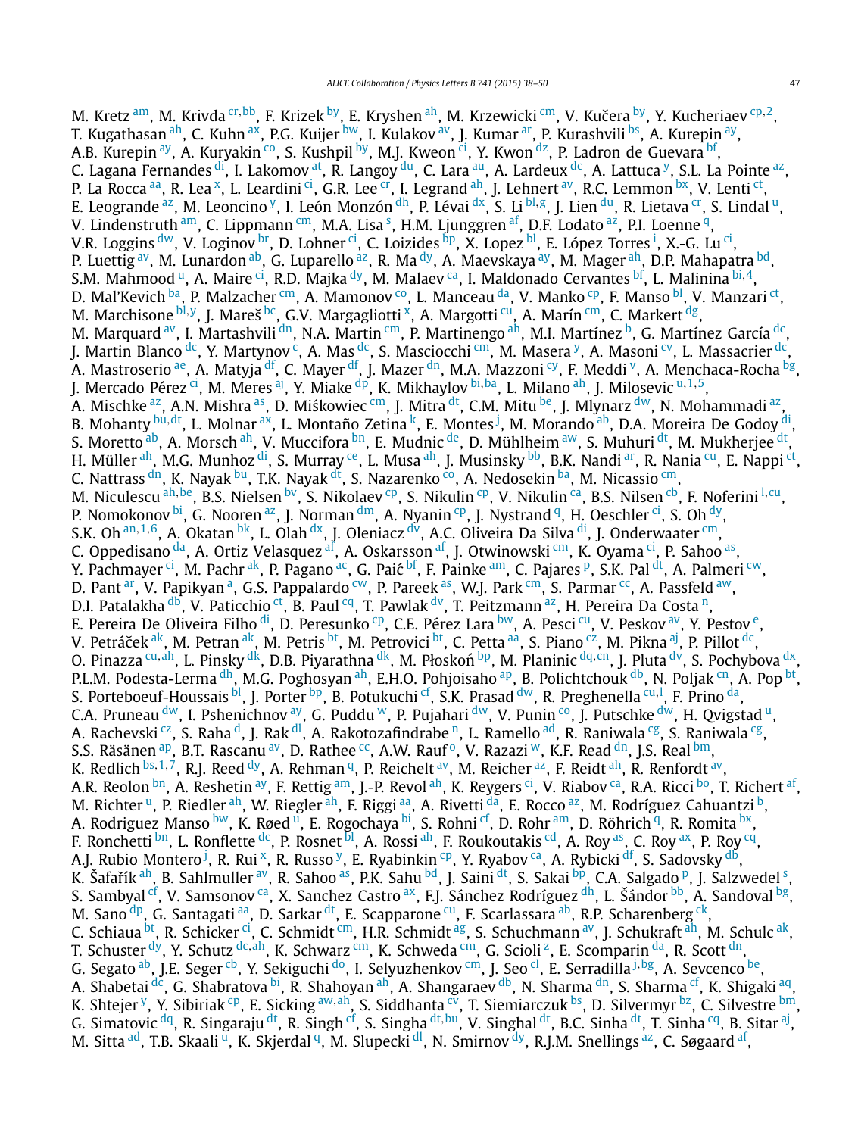M. Kretz <sup>am</sup>, M. Krivda <sup>[cr](#page-11-0),bb</sup>, F. Krizek <sup>[by](#page-11-0)</sup>, E. Kryshen <sup>ah</sup>, M. Krzewicki <sup>cm</sup>, V. Kučera <sup>by</sup>, Y. Kucheriaev <sup>[cp](#page-11-0), 2</sup>, T. Kugathasan [ah,](#page-10-0) C. Kuhn [ax,](#page-11-0) P.G. Kuijer [bw,](#page-11-0) I. Kulakov [av](#page-11-0), J. Kumar [ar,](#page-10-0) P. Kurashvili [bs,](#page-11-0) A. Kurepin [ay,](#page-11-0) A.B. Kurepin <sup>ay</sup>, A. Kuryakin<sup>co</sup>, S. Kushpil <sup>by</sup>, M.J. Kweon [ci,](#page-11-0) Y. Kwon [dz,](#page-12-0) P. Ladron de Guevara [bf,](#page-11-0) C. Lagana Fernandes <sup>di</sup>, I. Lakomov <sup>at</sup>, R. Langoy <sup>du</sup>, C. Lara <sup>au</sup>, A. Lardeux <sup>dc</sup>, A. Lattuca <sup>y</sup>, S.L. La Pointe <sup>az</sup>, P. La Rocca <sup>[aa](#page-10-0)</sup>, R. Lea <sup>x</sup>, L. Leardini <sup>ci</sup>, G.R. Lee <sup>cr</sup>, I. Legrand <sup>ah</sup>, J. Lehnert <sup>av</sup>, R.C. Lemmon <sup>bx</sup>, V. Lenti <sup>ct</sup>, E. Leogrande <sup>az</sup>, M. Leoncino <sup>[y](#page-10-0)</sup>, I. León Monzón [dh,](#page-11-0) P. Lévai [dx,](#page-12-0) S. Li <sup>[bl](#page-11-0),g</sup>, J. Lien [du](#page-12-0), R. Lietava <sup>cr</sup>, S. Lindal [u,](#page-10-0) V. Linden[s](#page-10-0)truth <sup>am</sup>, C. Lippmann <sup>cm</sup>, M.A. Lisa <sup>s</sup>, H.M. Ljunggren <sup>af</sup>, D.F. Lodato <sup>[az](#page-11-0)</sup>, P.I. Loenne <sup>q</sup>, V.R. Logg[i](#page-10-0)ns <sup>dw</sup>, V. Loginov <sup>br</sup>, D. Lohner <sup>ci</sup>, C. Loizides <sup>bp</sup>, X. Lopez <sup>bl</sup>, E. López Torres <sup>i</sup>, X.-G. Lu <sup>ci</sup>, P. Luettig [av,](#page-11-0) M. Lunardon [ab,](#page-10-0) G. Luparello [az,](#page-11-0) R. Ma <sup>dy</sup>, A. Maevskaya av, M. Mager [ah,](#page-10-0) D.P. Mahapatra [bd,](#page-11-0) S.M. Mahmood [u,](#page-10-0) A. Maire [ci,](#page-11-0) R.D. Majka [dy,](#page-12-0) M. Malaev [ca](#page-11-0), I. Maldonado Cervantes [bf,](#page-11-0) L. Malinina [bi](#page-11-0)*,*[4,](#page-12-0) D. Mal'Kevich [ba,](#page-11-0) P. Malzacher [cm,](#page-11-0) A. Mamonov [co,](#page-11-0) L. Manceau [da,](#page-11-0) V. Manko [cp](#page-11-0), F. Manso [bl,](#page-11-0) V. Manzari [ct,](#page-11-0) M. Marchisone <sup>[bl](#page-11-0), y</sup>, J. Mareš <sup>bc</sup>, G.V. Margagliotti [x,](#page-10-0) A. Margotti <sup>cu</sup>, A. Marín [cm,](#page-11-0) C. Markert <sup>dg</sup>, M. Marquard [av](#page-11-0), I. Martashvili [dn,](#page-11-0) N.A. Martin [cm,](#page-11-0) P. Martinengo [ah,](#page-10-0) M.I. Martínez [b,](#page-10-0) G. Martínez García [dc,](#page-11-0) J. Martin Blanco <sup>dc</sup>, Y. Mart[y](#page-10-0)nov <sup>c</sup>, A. Mas <sup>dc</sup>, S. Masciocchi <sup>cm</sup>, M. Masera <sup>y</sup>, A. Masoni <sup>cv</sup>, L. Massacrier <sup>dc</sup>, A. Mastroserio <sup>ae</sup>, A. Matyja <sup>df</sup>, C. Mayer <sup>df</sup>, J. Mazer <sup>dn</sup>, M.A. Mazzoni <sup>cy</sup>, F. Meddi <sup>v</sup>, A. Menchaca-Rocha <sup>bg</sup>, J. Mercado Pérez [ci,](#page-11-0) M. Meres [aj,](#page-10-0) Y. Miake [dp](#page-11-0), K. Mikhaylov [bi](#page-11-0)*,*[ba,](#page-11-0) L. Milano [ah,](#page-10-0) J. Milosevic [u](#page-10-0)*,*[1](#page-12-0)*,*[5,](#page-12-0) A. Mischke  $a^2$ , A.N. Mishra  $a^2$ , D. Miskowiec  $\text{cm}$ , J. Mitra  $\text{dt}$ , C.M. Mitu  $\text{be}$  $\text{be}$  $\text{be}$ , J. Mlynarz  $\text{dw}$ , N. Mohammadi  $\text{dt}$ , B. Mohanty <sup>[bu](#page-11-0),dt</sup>, L. Molnar <sup>ax</sup>, L. Montaño Zetina <sup>[k](#page-10-0)</sup>, E. Montes <sup>[j](#page-10-0)</sup>, M. Morando <sup>ab</sup>, D.A. Moreira De Godoy <sup>di</sup>, S. Moretto [ab,](#page-10-0) A. Morsch [ah,](#page-10-0) V. Muccifora [bn,](#page-11-0) E. Mudnic [de,](#page-11-0) D. Mühlheim [aw](#page-11-0), S. Muhuri [dt,](#page-12-0) M. Mukherjee dt, H. Müller <sup>ah</sup>, M.G. Munhoz <sup>[di](#page-11-0)</sup>, S. Murray <sup>ce</sup>, L. Musa <sup>ah</sup>, J. Musinsky <sup>bb</sup>, B.K. Nandi <sup>[ar](#page-10-0)</sup>, R. Nania <sup>cu</sup>, E. Nappi <sup>ct</sup>, C. Nattrass <sup>dn</sup>, K. Nayak <sup>bu</sup>, T.K. Nayak <sup>dt</sup>, S. Nazarenko <sup>co</sup>, A. Nedosekin <sup>ba</sup>, M. Nicassio <sup>cm</sup>, M. Niculescu [ah](#page-10-0), [be,](#page-11-0) B.S. Nielsen by, S. Nikolaev <sup>cp</sup>, S. Nikulin <sup>cp</sup>, V. Nikulin <sup>[ca](#page-11-0)</sup>, B.S. Ni[l](#page-10-0)sen <sup>cb</sup>, F. Noferini <sup>l,cu</sup>, P. Nomokonov [bi,](#page-11-0) G. Nooren [az,](#page-11-0) J. Norman [dm,](#page-11-0) A. Nyanin [cp,](#page-11-0) J. Nystrand [q,](#page-10-0) H. Oeschler [ci,](#page-11-0) S. Oh [dy,](#page-12-0) S.K. Oh [an](#page-10-0), [1](#page-12-0), [6,](#page-12-0) A. Okatan <sup>bk</sup>, L. Olah [dx,](#page-12-0) J. Oleniacz [dv,](#page-12-0) A.C. Oliveira Da Silva [di](#page-11-0), J. Onderwaater [cm,](#page-11-0) C. Oppedisano [da,](#page-11-0) A. Ortiz Velasquez [af,](#page-10-0) A. Oskarsson af, J. Otwinowski [cm,](#page-11-0) K. Oyama [ci,](#page-11-0) P. Sahoo [as](#page-11-0), Y. Pachmayer <sup>ci</sup>, M. Pachr <sup>[ak](#page-10-0)</sup>, P. Pagano <sup>ac</sup>, G. Paic<sup>bf</sup>, F. Painke <sup>am</sup>, C. Pajares <sup>p</sup>, S.K. Pal <sup>dt</sup>, A. Palmeri <sup>cw</sup>, D. Pant <sup>ar</sup>, V. Papikyan <sup>a</sup>, G.S. Pappalardo CW, P. Pareek [as,](#page-11-0) W.J. Park Cm, S. Parmar CC, A. Passfeld [aw](#page-11-0), D.I. Patalakha <sup>db</sup>, V. Paticchio <sup>[ct](#page-11-0)</sup>, B. Paul <sup>cq</sup>, T. Pawlak <sup>dv</sup>, T. Peitzmann <sup>az</sup>, H. Pereira Da Costa <sup>n</sup>, E. Pereira De Oliveira Filho [di,](#page-11-0) D. Peresunko <sup>cp</sup>, C.E. Pérez Lara [bw](#page-11-0), A. Pesci <sup>cu</sup>, V. Peskov <sup>av</sup>, Y. Pestov <sup>e</sup>, V. Petráček <sup>ak</sup>, M. Petran <sup>ak</sup>, M. Petris <sup>bt</sup>, M. Petrovici <sup>bt</sup>, C. Petta <sup>aa</sup>, S. Piano <sup>cz</sup>, M. Pikna <sup>[aj](#page-10-0)</sup>, P. Pillot <sup>dc</sup>, O. Pinazza <sup>[cu](#page-11-0),ah</sup>, L. Pinsky <sup>dk</sup>, D.B. Piyarathna <sup>dk</sup>, M. Płoskoń <sup>bp</sup>, M. Planinic <sup>[dq](#page-11-0),cn</sup>, J. Pluta <sup>dv</sup>, S. Pochybova <sup>dx</sup>, P.L.M. Podesta-Lerma [dh,](#page-11-0) M.G. Poghosyan [ah,](#page-10-0) E.H.O. Pohjoisaho [ap,](#page-10-0) B. Polichtchouk [db,](#page-11-0) N. Poljak [cn,](#page-11-0) A. Pop [bt,](#page-11-0) S. Porteboeuf-Houssais <sup>bl</sup>, J. Porter <sup>[bp](#page-11-0)</sup>, B. Potukuchi <sup>cf</sup>, S.K. Prasad <sup>dw</sup>, R. Preghenella <sup>[cu](#page-11-0), [l](#page-10-0)</sup>, F. Prino <sup>da</sup>, C.A. Pruneau  $\frac{dw}{dx}$ , I. Pshenichnov  $\frac{dy}{dx}$ , G. Puddu W., P. Pujahari  $\frac{dw}{dx}$ , V. Punin  $\frac{c_0}{dy}$ , J. Putschke  $\frac{dw}{dx}$ , H. Qvigstad  $\frac{u}{dx}$ , A. Rachevski  $^{cz}$ , S. Raha [d,](#page-10-0) J. Rak [dl,](#page-11-0) A. Rakotozafindrabe  $n$ , L. Ramello  $^{ad}$ , R. Raniwala  $^{cg}$ , S. Raniwala  $^{cg}$ , S.S. Räsänen <sup>ap</sup>, B.T. Rascanu <sup>[av](#page-11-0)</sup>, D. Rathee <sup>cc</sup>, A.W. Rauf <sup>o</sup>, V. Razazi <sup>w</sup>, K.F. Read <sup>[dn](#page-11-0)</sup>, J.S. Real <sup>bm</sup>, K. Redlich <sup>[bs](#page-11-0),[1](#page-12-0),7</sup>, R.J. Reed <sup>dy</sup>, A. Rehman <sup>q</sup>, P. Reichelt <sup>[av](#page-11-0)</sup>, M. Reicher <sup>az</sup>, F. Reidt <sup>ah</sup>, R. Renfordt <sup>av</sup>, A.R. Reolon [bn,](#page-11-0) A. Reshetin [ay,](#page-11-0) F. Rettig [am,](#page-10-0) J.-P. Revol [ah,](#page-10-0) K. Reygers [ci,](#page-11-0) V. Riabov [ca,](#page-11-0) R.A. Ricci [bo,](#page-11-0) T. Richert [af,](#page-10-0) M. Richter <sup>u</sup>, P. Riedler <sup>[ah](#page-10-0)</sup>, W. Riegler <sup>ah</sup>, F. Riggi <sup>aa</sup>, A. Rivetti <sup>da</sup>, E. Rocco <sup>az</sup>, M. Rodríguez Cahuantzi <sup>b</sup>, A. Rodriguez Manso <sup>[bw](#page-11-0)</s[u](#page-10-0)p>, K. Røed <sup>u</sup>, E. Rogochaya <sup>bi</sup>, S. Rohni <sup>[cf](#page-11-0)</sup>, D. Rohr <sup>am</sup>, D. Röhrich <sup>q</sup>, R. Romita <sup>bx</sup>, F. Ronchetti <sup>[bn](#page-11-0)</sup>, L. Ronflette <sup>[dc](#page-11-0)</sup>, P. Rosnet <sup>bl</sup>, A. Rossi <sup>ah</sup>, F. Roukoutakis <sup>cd</sup>, A. Roy <sup>as</sup>, C. Roy <sup>ax</sup>, P. Roy <sup>cq</sup>, A.J. Rubio Montero <sup>[j](#page-10-0)</sup>, R. Rui <sup>x</sup>, R. Russo <sup>y</sup>, E. Ryabinkin <sup>cp</sup>, Y. Ryabov <sup>ca</sup>, A. Rybicki <sup>df</sup>, S. Sadovsky <sup>[db](#page-11-0)</sup>, K. Šafařík <sup>ah</sup>, B. Sahlmuller <sup>[av](#page-11-0)</sup>, R. Sahoo <sup>as</sup>, P.K. Sahu <sup>bd</sup>, J. Saini <sup>dt</sup>, S. Sakai <sup>[bp](#page-11-0)</[s](#page-10-0)up>, C.A. Salgado <sup>p</sup>, J. Salzwedel <sup>s</sup>, S. Sambyal <sup>cf</sup>, V. Samsonov <sup>ca</sup>, X. Sanchez Castro <sup>ax</sup>, F.J. Sánchez Rodríguez <sup>dh</sup>, L. Šándor <sup>[bb](#page-11-0)</sup>, A. Sandoval <sup>bg</sup>, M. Sano <sup>dp</sup>, G. Santagati <sup>aa</sup>, D. Sarkar <sup>dt</sup>, E. Scapparone <sup>cu</sup>, F. Scarlassara <sup>ab</sup>, R.P. Scharenberg <sup>ck</sup>, C. Schiaua <sup>bt</sup>, R. Schicker <sup>[ci](#page-11-0)</sup>, C. Schmidt <sup>cm</sup>, H.R. Schmidt <sup>ag</sup>, S. Schuchmann <sup>[av](#page-11-0)</sup>, J. Schukraft <sup>ah</sup>, M. Schulc <sup>ak</sup>, T. Schuster <sup>dy</sup>, Y. Schutz <sup>[dc](#page-11-0),ah</sup>, K. Schwarz <sup>cm</sup>, K. Schweda <sup>cm</sup>, G. Scioli<sup>z</sup>, E. Scomparin <sup>da</sup>, R. Scott <sup>dn</sup>, G. Segato [ab,](#page-10-0) J.E. Seger [cb,](#page-11-0) Y. Sekiguchi [do,](#page-11-0) I. Selyuzhenkov [cm,](#page-11-0) J. Seo [cl,](#page-11-0) E. Serradilla [j](#page-10-0)*,*[bg,](#page-11-0) A. Sevcenco [be,](#page-11-0) A. Shabetai [dc,](#page-11-0) G. Shabratova [bi](#page-11-0), R. Shahoyan [ah,](#page-10-0) A. Shangaraev [db,](#page-11-0) N. Sharma [dn,](#page-11-0) S. Sharma [cf,](#page-11-0) K. Shigaki [aq,](#page-10-0) K. Shtejer <sup>y</sup>, Y. Sibiriak <sup>cp</sup>, E. Sicking [aw](#page-11-0), [ah,](#page-10-0) S. Siddhanta [cv,](#page-11-0) T. Siemiarczuk [bs,](#page-11-0) D. Silvermyr [bz,](#page-11-0) C. Silvestre [bm,](#page-11-0) G. Simatovic <sup>dq</sup>, R. Singaraju <sup>dt</sup>, R. Singh cf, S. Singha [dt,](#page-12-0)bu, V. Singhal [dt](#page-12-0), B.C. Sinha dt, T. Sinha [cq,](#page-11-0) B. Sitar [aj](#page-10-0), M. Sitta [ad,](#page-10-0) T.B. Skaali [u,](#page-10-0) K. Skjerdal <sup>q</sup>, M. Slupecki <sup>dl</sup>, N. Smirnov <sup>dy</sup>, R.J.M. Snellings [az,](#page-11-0) C. Søgaard [af,](#page-10-0)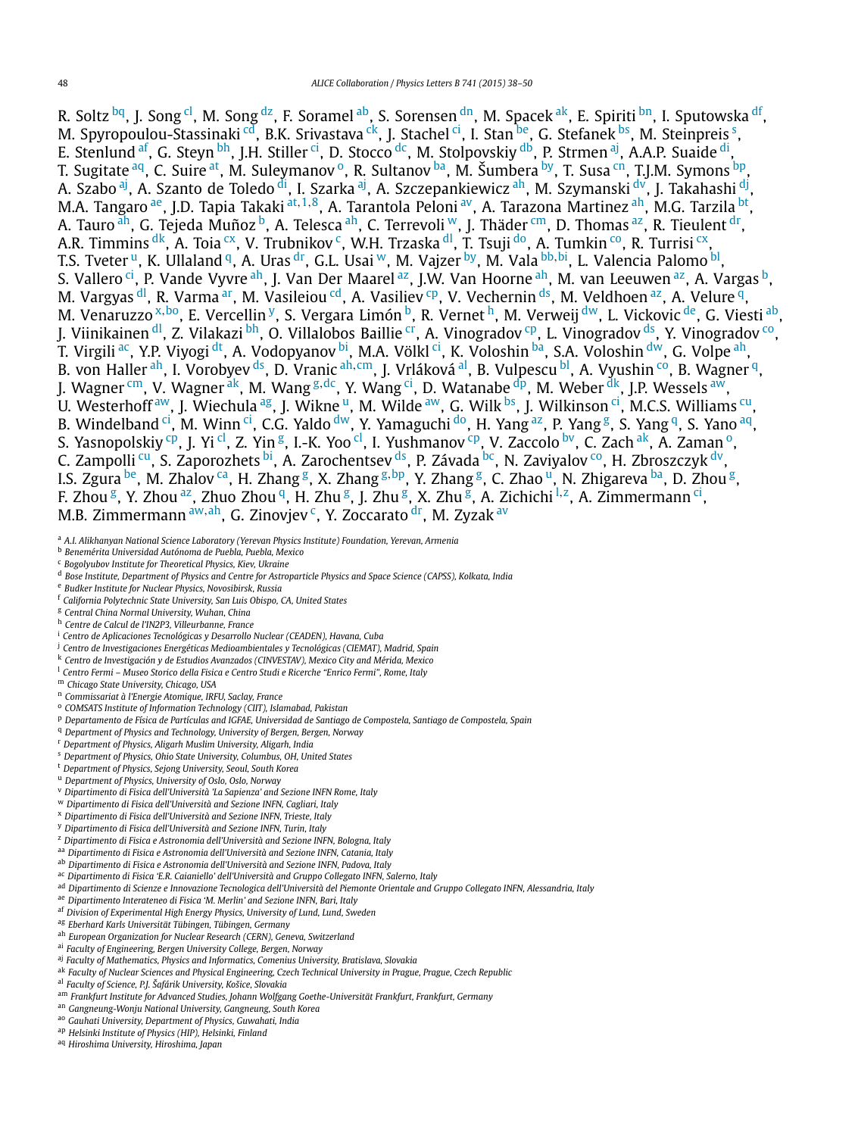<span id="page-10-0"></span>R. Soltz <sup>bq</sup>, J. Song <sup>cl</sup>, M. Song <sup>dz</sup>, F. Soramel <sup>ab</sup>, S. Sorensen <sup>dn</sup>, M. Spacek <sup>ak</sup>, E. Spiriti <sup>bn</sup>, I. Sputowska <sup>[df](#page-11-0)</sup>, M. Spyropoulou-Stassinaki <sup>cd</sup>, B.K. Srivastava <sup>ck</sup>, J. Stachel <sup>[ci](#page-11-0)</sup>, I. Stan <sup>be</sup>, G. Stefanek <sup>bs</sup>, M. Steinpreis <sup>s</sup>, E. Stenlund <sup>af</sup>, G. Steyn <sup>bh</sup>, J.H. Stiller <sup>ci</sup>, D. Stocco <sup>dc</sup>, M. Stolpovskiy <sup>db</sup>, P. Strmen <sup>aj</sup>, A.A.P. Suaide <sup>di</sup>, T. Sugitate <sup>aq</sup>, C. Suire <sup>at</sup>, M. Suleymanov <sup>o</sup>, R. Sultanov <sup>ba</sup>, M. Šumbera <sup>by</sup>, T. Susa <sup>cn</sup>, T.J.M. Symons <sup>bp</sup>, A. Szabo<sup>aj</sup>, A. Szanto de Toledo <sup>di</sup>, I. Szarka <sup>aj</sup>, A. Szczepankiewicz <sup>ah</sup>, M. Szymanski <sup>dv</sup>, J. Takahashi <sup>dj</sup>, M.A. Tangaro ae, J.D. Tapia Takaki [at](#page-11-0)*,*[1](#page-12-0)*,*[8,](#page-12-0) A. Tarantola Peloni [av](#page-11-0), A. Tarazona Martinez ah, M.G. Tarzila [bt,](#page-11-0) A. Tauro <sup>ah</sup>, G. Tejeda Muñoz <sup>b</sup>, A. Telesca <sup>ah</sup>, C. Terrevoli <sup>w</sup>, J. Thäder <sup>[cm](#page-11-0)</sup>, D. Thomas <sup>[az](#page-11-0)</sup>, R. Tieulent <sup>dr</sup>, A.R. Timmins <sup>dk</sup>, A. Toia <sup>cx</sup>, V. Trubnikov <sup>c</sup>, W.H. Trzaska <sup>dl</sup>, T. Tsuji <sup>do</sup>, A. Tumkin <sup>co</sup>, R. Turrisi <sup>cx</sup>, T.S. Tveter <sup>u</sup>, K. Ullaland <sup>q</sup>, A. Uras [dr,](#page-11-0) G.L. Usai <sup>w</sup>, M. Vajzer <sup>[by](#page-11-0)</sup>, M. Vala [bb](#page-11-0), [bi,](#page-11-0) L. Valencia Palomo <sup>bl</sup>, S. Vallero <sup>ci</sup>, P. Vande Vyvre <sup>ah</sup>, J. Van Der Maarel <sup>az</sup>, J.W. Van Hoorne <sup>ah</sup>, M. van Leeuwen <sup>az</sup>, A. Vargas <sup>b</sup>, M. Vargyas <sup>dl</sup>, R. Varma <sup>ar</sup>, M. Vasileiou <sup>[cd](#page-11-0)</sup>, A. Vasiliev <sup>cp</sup>, V. Vechernin <sup>[ds](#page-11-0)</sup>, M. Veldhoen <sup>az</sup>, A. Velure <sup>q</sup>, M. Venaruzzo <sup>x,bo</sup>, E. Vercellin <sup>y</sup>, S. Vergara Limón <sup>b</sup>, R. Vernet <sup>h</sup>, M. Verweij <sup>dw</sup>, L. Vickovic <sup>de</sup>, G. Viesti <sup>ab</sup>, J. Viinikainen <sup>dl</sup>, Z. Vilakazi <sup>bh</sup>, O. Villalobos Baillie <sup>cr</sup>, A. Vinogradov <sup>cp</sup>, L. Vinogradov <sup>ds</sup>, Y. Vinogradov <sup>co</sup>, T. Virgili <sup>ac</sup>, Y.P. Viyogi <sup>dt</sup>, A. Vodopyanov <sup>bi</sup>, M.A. Völkl <sup>ci</sup>, K. Voloshin <sup>ba</sup>, S.A. Voloshin <sup>dw</sup>, G. Volpe <sup>ah</sup>, B. von Haller <sup>ah</sup>, I. Vorobyev <sup>ds</sup>, D. Vranic <sup>ah,[cm](#page-11-0)</sup>, J. Vrláková <sup>al</sup>, B. Vulpescu <sup>bl</sup>, A. Vyushin <sup>co</sup>, B. Wagner <sup>q</sup>, J. Wagner [cm](#page-11-0), V. Wagner ak, M. Wang <sup>g</sup>*,*[dc,](#page-11-0) Y. Wang [ci,](#page-11-0) D. Watanabe [dp,](#page-11-0) M. Weber [dk,](#page-11-0) J.P. Wessels [aw,](#page-11-0) U. Westerhoff <sup>[aw](#page-11-0)</sup>, J. Wiechula <sup>ag</sup>, J. Wikne <sup>u</sup>, M. Wilde <sup>aw</sup>, G. Wilk <sup>[bs](#page-11-0)</sup>, J. Wilkinson <sup>ci</sup>, M.C.S. Williams <sup>cu</sup>, B. Windelband <sup>[ci](#page-11-0)</sup>, M. Winn <sup>ci</sup>, C.G. Yaldo <sup>dw</sup>, Y. Yamaguchi <sup>do</sup>, H. Yang <sup>az</sup>, P. Yang <sup>g</sup>, S. Yang <sup>q</sup>, S. Yano <sup>aq</sup>, S. Yasnopolskiy  $\overline{cp}$  $\overline{cp}$  $\overline{cp}$ , J. Yi  $\overline{cl}$ , Z. Yin  $\overline{s}$ , I.-K. Yoo  $\overline{cl}$ , I. Yushmanov  $\overline{cp}$ , V. Zaccolo  $\overline{bv}$  $\overline{bv}$  $\overline{bv}$ , C. Zach  $\overline{ak}$ , A. Zaman  $\overline{o}$ , C. Zampolli <sup>cu</sup>, S. Zaporozhets <sup>bi</sup>, A. Zarochentsev <sup>ds</sup>, P. Závada <sup>bc</sup>, N. Zaviyalov <sup>co</sup>, H. Zbroszczyk <sup>dv</sup>, I.S. Zgura <sup>be</sup>, M. Zhalov <sup>ca</sup>, H. Zhang <sup>g</sup>, X. Zhang <sup>g,[bp](#page-11-0)</sup>, Y. Zhang <sup>g</sup>, C. Zhao <sup>u</sup>, N. Zhigareva <sup>ba</sup>, D. Zhou <sup>g</sup>, F. Zhou g, Y. Zhou [az,](#page-11-0) Zhuo Zhou q, H. Zhu g, J. Zhu g, X. Zhu g, A. Zichichi <sup>l</sup>*,*z, A. Zimmermann [ci,](#page-11-0) M.B. Zimmermann [aw](#page-11-0), ah, G. Zinovjev<sup>c</sup>, Y. Zoccarato [dr,](#page-11-0) M. Zyzak [av](#page-11-0)

- <sup>a</sup> *A.I. Alikhanyan National Science Laboratory (Yerevan Physics Institute) Foundation, Yerevan, Armenia*
- <sup>b</sup> *Benemérita Universidad Autónoma de Puebla, Puebla, Mexico*
- <sup>c</sup> *Bogolyubov Institute for Theoretical Physics, Kiev, Ukraine*
- <sup>d</sup> Bose Institute, Department of Physics and Centre for Astroparticle Physics and Space Science (CAPSS), Kolkata, India
- <sup>e</sup> *Budker Institute for Nuclear Physics, Novosibirsk, Russia*
- <sup>f</sup> *California Polytechnic State University, San Luis Obispo, CA, United States*
- <sup>g</sup> *Central China Normal University, Wuhan, China*
- <sup>h</sup> *Centre de Calcul de l'IN2P3, Villeurbanne, France*
- <sup>i</sup> *Centro de Aplicaciones Tecnológicas y Desarrollo Nuclear (CEADEN), Havana, Cuba*
- <sup>j</sup> *Centro de Investigaciones Energéticas Medioambientales y Tecnológicas (CIEMAT), Madrid, Spain*
- <sup>k</sup> *Centro de Investigación y de Estudios Avanzados (CINVESTAV), Mexico City and Mérida, Mexico*
- <sup>l</sup> *Centro Fermi – Museo Storico della Fisica e Centro Studi e Ricerche "Enrico Fermi", Rome, Italy*
- <sup>m</sup> *Chicago State University, Chicago, USA*
- <sup>n</sup> *Commissariat à l'Energie Atomique, IRFU, Saclay, France*
- <sup>o</sup> *COMSATS Institute of Information Technology (CIIT), Islamabad, Pakistan*
- <sup>p</sup> Departamento de Física de Partículas and IGFAE, Universidad de Santiago de Compostela, Santiago de Compostela, Spain
- <sup>q</sup> *Department of Physics and Technology, University of Bergen, Bergen, Norway*
- <sup>r</sup> *Department of Physics, Aligarh Muslim University, Aligarh, India*
- <sup>s</sup> *Department of Physics, Ohio State University, Columbus, OH, United States*
- <sup>t</sup> *Department of Physics, Sejong University, Seoul, South Korea*
- <sup>u</sup> *Department of Physics, University of Oslo, Oslo, Norway*
- <sup>v</sup> *Dipartimento di Fisica dell'Università 'La Sapienza' and Sezione INFN Rome, Italy*
- <sup>w</sup> *Dipartimento di Fisica dell'Università and Sezione INFN, Cagliari, Italy*
- <sup>x</sup> *Dipartimento di Fisica dell'Università and Sezione INFN, Trieste, Italy*
- <sup>y</sup> *Dipartimento di Fisica dell'Università and Sezione INFN, Turin, Italy*
- <sup>z</sup> *Dipartimento di Fisica e Astronomia dell'Università and Sezione INFN, Bologna, Italy*
- aa *Dipartimento di Fisica e Astronomia dell'Università and Sezione INFN, Catania, Italy*
- ab *Dipartimento di Fisica e Astronomia dell'Università and Sezione INFN, Padova, Italy*
- ac *Dipartimento di Fisica 'E.R. Caianiello' dell'Università and Gruppo Collegato INFN, Salerno, Italy*
- ad Dipartimento di Scienze e Innovazione Tecnologica dell'Università del Piemonte Orientale and Gruppo Collegato INFN, Alessandria, Italy
- ae *Dipartimento Interateneo di Fisica 'M. Merlin' and Sezione INFN, Bari, Italy*
- af *Division of Experimental High Energy Physics, University of Lund, Lund, Sweden*
- ag *Eberhard Karls Universität Tübingen, Tübingen, Germany*
- ah *European Organization for Nuclear Research (CERN), Geneva, Switzerland*
- ai *Faculty of Engineering, Bergen University College, Bergen, Norway*
- aj *Faculty of Mathematics, Physics and Informatics, Comenius University, Bratislava, Slovakia*
- ak *Faculty of Nuclear Sciences and Physical Engineering, Czech Technical University in Prague, Prague, Czech Republic*
- al *Faculty of Science, P.J. Šafárik University, Košice, Slovakia*
- am *Frankfurt Institute for Advanced Studies, Johann Wolfgang Goethe-Universität Frankfurt, Frankfurt, Germany*
- an *Gangneung-Wonju National University, Gangneung, South Korea*
- ao *Gauhati University, Department of Physics, Guwahati, India*
- ap *Helsinki Institute of Physics (HIP), Helsinki, Finland*
- aq *Hiroshima University, Hiroshima, Japan*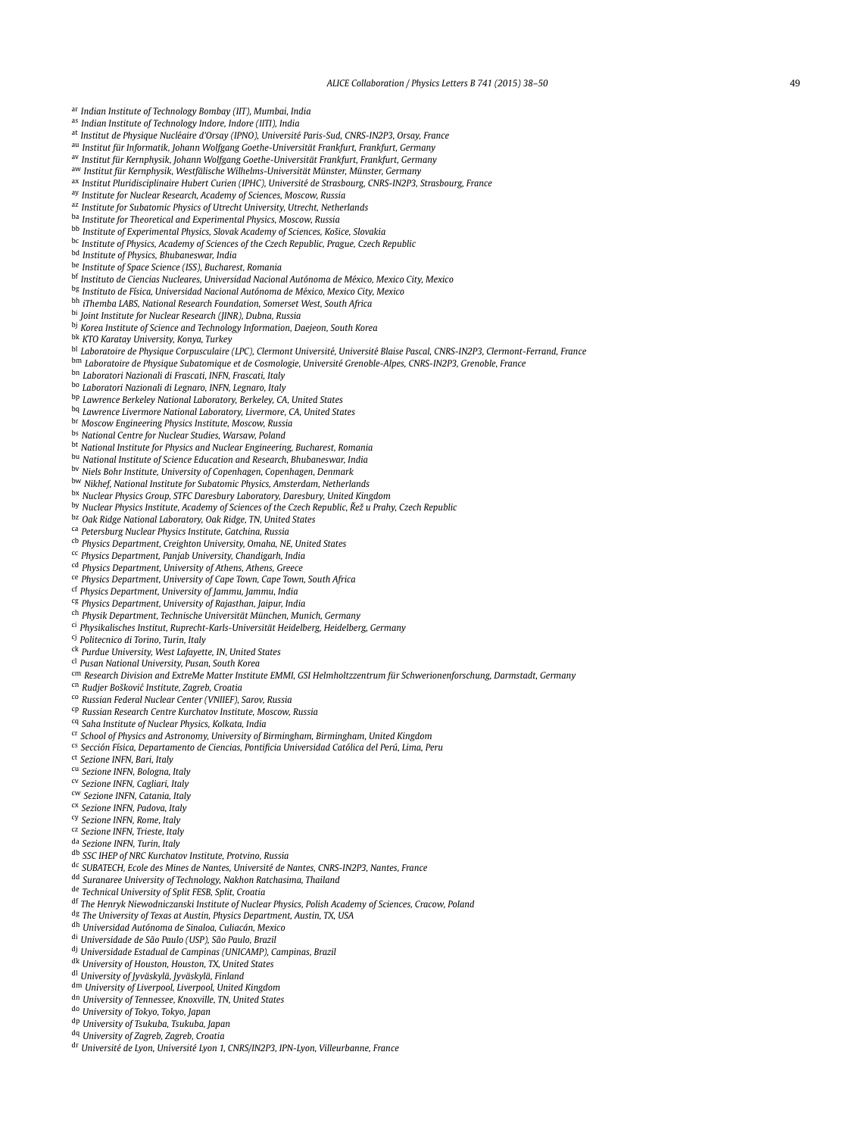<span id="page-11-0"></span>ar *Indian Institute of Technology Bombay (IIT), Mumbai, India* as *Indian Institute of Technology Indore, Indore (IITI), India* at *Institut de Physique Nucléaire d'Orsay (IPNO), Université Paris-Sud, CNRS-IN2P3, Orsay, France* au *Institut für Informatik, Johann Wolfgang Goethe-Universität Frankfurt, Frankfurt, Germany* av *Institut für Kernphysik, Johann Wolfgang Goethe-Universität Frankfurt, Frankfurt, Germany* aw *Institut für Kernphysik, Westfälische Wilhelms-Universität Münster, Münster, Germany* ax *Institut Pluridisciplinaire Hubert Curien (IPHC), Université de Strasbourg, CNRS-IN2P3, Strasbourg, France* ay *Institute for Nuclear Research, Academy of Sciences, Moscow, Russia* az *Institute for Subatomic Physics of Utrecht University, Utrecht, Netherlands* ba *Institute for Theoretical and Experimental Physics, Moscow, Russia* bb *Institute of Experimental Physics, Slovak Academy of Sciences, Košice, Slovakia* bc *Institute of Physics, Academy of Sciences of the Czech Republic, Prague, Czech Republic* bd *Institute of Physics, Bhubaneswar, India* be *Institute of Space Science (ISS), Bucharest, Romania* bf *Instituto de Ciencias Nucleares, Universidad Nacional Autónoma de México, Mexico City, Mexico* bg *Instituto de Física, Universidad Nacional Autónoma de México, Mexico City, Mexico* bh *iThemba LABS, National Research Foundation, Somerset West, South Africa* bi *Joint Institute for Nuclear Research (JINR), Dubna, Russia* bj *Korea Institute of Science and Technology Information, Daejeon, South Korea* bk *KTO Karatay University, Konya, Turkey* bl *Laboratoire de Physique Corpusculaire (LPC), Clermont Université, Université Blaise Pascal, CNRS-IN2P3, Clermont-Ferrand, France* bm *Laboratoire de Physique Subatomique et de Cosmologie, Université Grenoble-Alpes, CNRS-IN2P3, Grenoble, France* bn *Laboratori Nazionali di Frascati, INFN, Frascati, Italy* bo *Laboratori Nazionali di Legnaro, INFN, Legnaro, Italy* bp *Lawrence Berkeley National Laboratory, Berkeley, CA, United States* bq *Lawrence Livermore National Laboratory, Livermore, CA, United States* br *Moscow Engineering Physics Institute, Moscow, Russia* bs *National Centre for Nuclear Studies, Warsaw, Poland* bt *National Institute for Physics and Nuclear Engineering, Bucharest, Romania* bu *National Institute of Science Education and Research, Bhubaneswar, India* bv *Niels Bohr Institute, University of Copenhagen, Copenhagen, Denmark* bw *Nikhef, National Institute for Subatomic Physics, Amsterdam, Netherlands* bx *Nuclear Physics Group, STFC Daresbury Laboratory, Daresbury, United Kingdom* by *Nuclear Physics Institute, Academy of Sciences of the Czech Republic, Rež ˇ u Prahy, Czech Republic* bz *Oak Ridge National Laboratory, Oak Ridge, TN, United States* ca *Petersburg Nuclear Physics Institute, Gatchina, Russia* cb *Physics Department, Creighton University, Omaha, NE, United States* cc *Physics Department, Panjab University, Chandigarh, India* cd *Physics Department, University of Athens, Athens, Greece* ce *Physics Department, University of Cape Town, Cape Town, South Africa* cf *Physics Department, University of Jammu, Jammu, India* cg *Physics Department, University of Rajasthan, Jaipur, India* ch *Physik Department, Technische Universität München, Munich, Germany* ci *Physikalisches Institut, Ruprecht-Karls-Universität Heidelberg, Heidelberg, Germany* cj *Politecnico di Torino, Turin, Italy* ck *Purdue University, West Lafayette, IN, United States* cl *Pusan National University, Pusan, South Korea* cm *Research Division and ExtreMe Matter Institute EMMI, GSI Helmholtzzentrum für Schwerionenforschung, Darmstadt, Germany* cn *Rudjer Boškovi´c Institute, Zagreb, Croatia* co *Russian Federal Nuclear Center (VNIIEF), Sarov, Russia* cp *Russian Research Centre Kurchatov Institute, Moscow, Russia* cq *Saha Institute of Nuclear Physics, Kolkata, India* cr *School of Physics and Astronomy, University of Birmingham, Birmingham, United Kingdom* cs *Sección Física, Departamento de Ciencias, Pontificia Universidad Católica del Perú, Lima, Peru* ct *Sezione INFN, Bari, Italy* cu *Sezione INFN, Bologna, Italy* cv *Sezione INFN, Cagliari, Italy* cw *Sezione INFN, Catania, Italy* cx *Sezione INFN, Padova, Italy* cy *Sezione INFN, Rome, Italy* cz *Sezione INFN, Trieste, Italy* da *Sezione INFN, Turin, Italy* db *SSC IHEP of NRC Kurchatov Institute, Protvino, Russia* dc *SUBATECH, Ecole des Mines de Nantes, Université de Nantes, CNRS-IN2P3, Nantes, France* dd *Suranaree University of Technology, Nakhon Ratchasima, Thailand* de *Technical University of Split FESB, Split, Croatia* df *The Henryk Niewodniczanski Institute of Nuclear Physics, Polish Academy of Sciences, Cracow, Poland* dg *The University of Texas at Austin, Physics Department, Austin, TX, USA* dh *Universidad Autónoma de Sinaloa, Culiacán, Mexico* di *Universidade de São Paulo (USP), São Paulo, Brazil* dj *Universidade Estadual de Campinas (UNICAMP), Campinas, Brazil* dk *University of Houston, Houston, TX, United States* dl *University of Jyväskylä, Jyväskylä, Finland* dm *University of Liverpool, Liverpool, United Kingdom*

- do *University of Tokyo, Tokyo, Japan*
- dp *University of Tsukuba, Tsukuba, Japan*
- dq *University of Zagreb, Zagreb, Croatia*
- dr *Université de Lyon, Université Lyon 1, CNRS/IN2P3, IPN-Lyon, Villeurbanne, France*